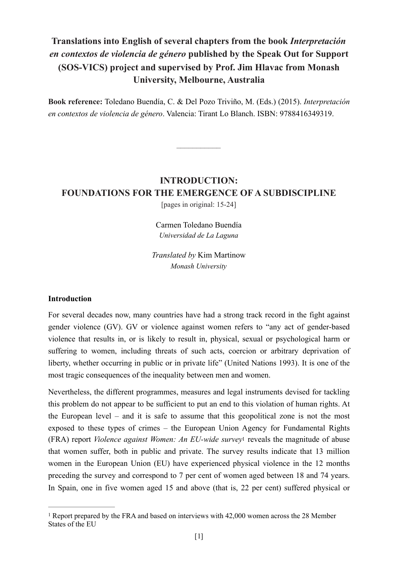# **Translations into English of several chapters from the book** *Interpretación en contextos de violencia de género* **published by the Speak Out for Support (SOS-VICS) project and supervised by Prof. Jim Hlavac from Monash University, Melbourne, Australia**

**Book reference:** Toledano Buendía, C. & Del Pozo Triviño, M. (Eds.) (2015). *Interpretación en contextos de violencia de género*. Valencia: Tirant Lo Blanch. ISBN: 9788416349319.

–––––––––––

# **INTRODUCTION: FOUNDATIONS FOR THE EMERGENCE OF A SUBDISCIPLINE**

[pages in original: 15-24]

Carmen Toledano Buendía *Universidad de La Laguna*

*Translated by* Kim Martinow *Monash University*

#### **Introduction**

For several decades now, many countries have had a strong track record in the fight against gender violence (GV). GV or violence against women refers to "any act of gender-based violence that results in, or is likely to result in, physical, sexual or psychological harm or suffering to women, including threats of such acts, coercion or arbitrary deprivation of liberty, whether occurring in public or in private life" (United Nations 1993). It is one of the most tragic consequences of the inequality between men and women.

<span id="page-0-1"></span>Nevertheless, the different programmes, measures and legal instruments devised for tackling this problem do not appear to be sufficient to put an end to this violation of human rights. At the European level – and it is safe to assume that this geopolitical zone is not the most exposed to these types of crimes – the European Union Agency for Fundamental Rights (FRA) report *Violence against Women: An EU-wide survey*[1](#page-0-0) reveals the magnitude of abuse that women suffer, both in public and private. The survey results indicate that 13 million women in the European Union (EU) have experienced physical violence in the 12 months preceding the survey and correspond to 7 per cent of women aged between 18 and 74 years. In Spain, one in five women aged 15 and above (that is, 22 per cent) suffered physical or

<span id="page-0-0"></span><sup>&</sup>lt;sup>1</sup>Report prepared by the FRA and based on interviews with 42,000 women across the 28 Member States of the EU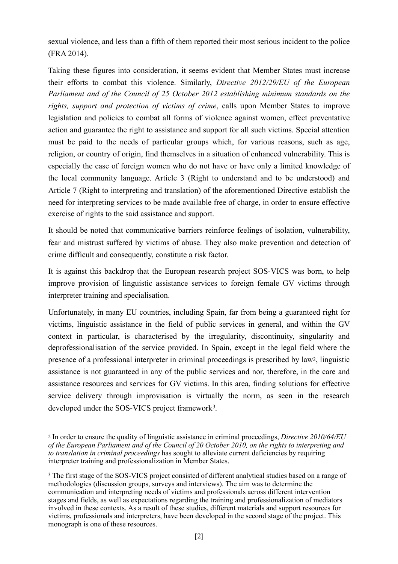sexual violence, and less than a fifth of them reported their most serious incident to the police (FRA 2014).

Taking these figures into consideration, it seems evident that Member States must increase their efforts to combat this violence. Similarly, *Directive 2012/29/EU of the European Parliament and of the Council of 25 October 2012 establishing minimum standards on the rights, support and protection of victims of crime*, calls upon Member States to improve legislation and policies to combat all forms of violence against women, effect preventative action and guarantee the right to assistance and support for all such victims. Special attention must be paid to the needs of particular groups which, for various reasons, such as age, religion, or country of origin, find themselves in a situation of enhanced vulnerability. This is especially the case of foreign women who do not have or have only a limited knowledge of the local community language. Article 3 (Right to understand and to be understood) and Article 7 (Right to interpreting and translation) of the aforementioned Directive establish the need for interpreting services to be made available free of charge, in order to ensure effective exercise of rights to the said assistance and support.

It should be noted that communicative barriers reinforce feelings of isolation, vulnerability, fear and mistrust suffered by victims of abuse. They also make prevention and detection of crime difficult and consequently, constitute a risk factor.

It is against this backdrop that the European research project SOS-VICS was born, to help improve provision of linguistic assistance services to foreign female GV victims through interpreter training and specialisation.

<span id="page-1-2"></span>Unfortunately, in many EU countries, including Spain, far from being a guaranteed right for victims, linguistic assistance in the field of public services in general, and within the GV context in particular, is characterised by the irregularity, discontinuity, singularity and deprofessionalisation of the service provided. In Spain, except in the legal field where the presence of a professional interpreter in criminal proceedings is prescribed by la[w2](#page-1-0), linguistic assistance is not guaranteed in any of the public services and nor, therefore, in the care and assistance resources and services for GV victims. In this area, finding solutions for effective service delivery through improvisation is virtually the norm, as seen in the research developed under the SOS-VICS project framework<sup>3</sup>.

<span id="page-1-3"></span><span id="page-1-0"></span>In order to ensure the quality of linguistic assistance in criminal proceedings, *Directive 2010/64/EU* [2](#page-1-2) *of the European Parliament and of the Council of 20 October 2010, on the rights to interpreting and to translation in criminal proceedings* has sought to alleviate current deficiencies by requiring interpreter training and professionalization in Member States.

<span id="page-1-1"></span><sup>&</sup>lt;sup>[3](#page-1-3)</sup> The first stage of the SOS-VICS project consisted of different analytical studies based on a range of methodologies (discussion groups, surveys and interviews). The aim was to determine the communication and interpreting needs of victims and professionals across different intervention stages and fields, as well as expectations regarding the training and professionalization of mediators involved in these contexts. As a result of these studies, different materials and support resources for victims, professionals and interpreters, have been developed in the second stage of the project. This monograph is one of these resources.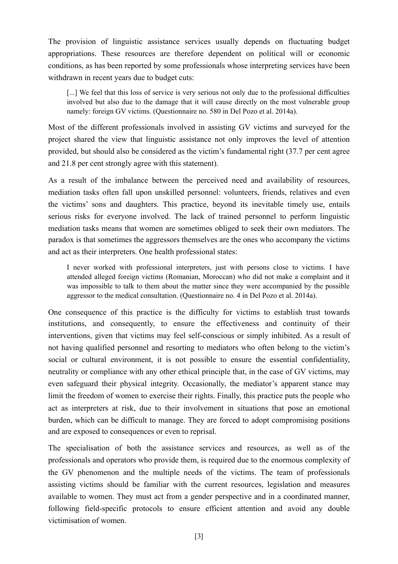The provision of linguistic assistance services usually depends on fluctuating budget appropriations. These resources are therefore dependent on political will or economic conditions, as has been reported by some professionals whose interpreting services have been withdrawn in recent years due to budget cuts:

[...] We feel that this loss of service is very serious not only due to the professional difficulties involved but also due to the damage that it will cause directly on the most vulnerable group namely: foreign GV victims. (Questionnaire no. 580 in Del Pozo et al. 2014a).

Most of the different professionals involved in assisting GV victims and surveyed for the project shared the view that linguistic assistance not only improves the level of attention provided, but should also be considered as the victim's fundamental right (37.7 per cent agree and 21.8 per cent strongly agree with this statement).

As a result of the imbalance between the perceived need and availability of resources, mediation tasks often fall upon unskilled personnel: volunteers, friends, relatives and even the victims' sons and daughters. This practice, beyond its inevitable timely use, entails serious risks for everyone involved. The lack of trained personnel to perform linguistic mediation tasks means that women are sometimes obliged to seek their own mediators. The paradox is that sometimes the aggressors themselves are the ones who accompany the victims and act as their interpreters. One health professional states:

I never worked with professional interpreters, just with persons close to victims. I have attended alleged foreign victims (Romanian, Moroccan) who did not make a complaint and it was impossible to talk to them about the matter since they were accompanied by the possible aggressor to the medical consultation. (Questionnaire no. 4 in Del Pozo et al. 2014a).

One consequence of this practice is the difficulty for victims to establish trust towards institutions, and consequently, to ensure the effectiveness and continuity of their interventions, given that victims may feel self-conscious or simply inhibited. As a result of not having qualified personnel and resorting to mediators who often belong to the victim's social or cultural environment, it is not possible to ensure the essential confidentiality, neutrality or compliance with any other ethical principle that, in the case of GV victims, may even safeguard their physical integrity. Occasionally, the mediator's apparent stance may limit the freedom of women to exercise their rights. Finally, this practice puts the people who act as interpreters at risk, due to their involvement in situations that pose an emotional burden, which can be difficult to manage. They are forced to adopt compromising positions and are exposed to consequences or even to reprisal.

The specialisation of both the assistance services and resources, as well as of the professionals and operators who provide them, is required due to the enormous complexity of the GV phenomenon and the multiple needs of the victims. The team of professionals assisting victims should be familiar with the current resources, legislation and measures available to women. They must act from a gender perspective and in a coordinated manner, following field-specific protocols to ensure efficient attention and avoid any double victimisation of women.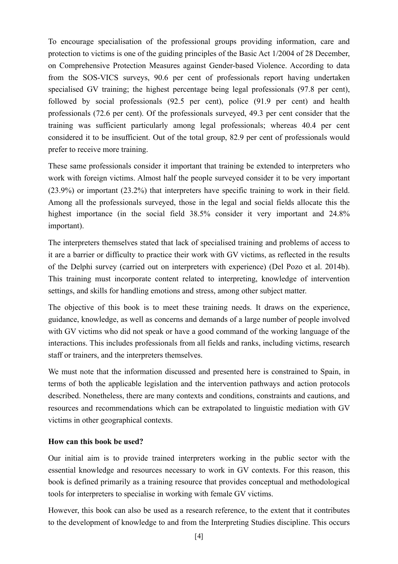To encourage specialisation of the professional groups providing information, care and protection to victims is one of the guiding principles of the Basic Act 1/2004 of 28 December, on Comprehensive Protection Measures against Gender-based Violence. According to data from the SOS-VICS surveys, 90.6 per cent of professionals report having undertaken specialised GV training; the highest percentage being legal professionals (97.8 per cent), followed by social professionals (92.5 per cent), police (91.9 per cent) and health professionals (72.6 per cent). Of the professionals surveyed, 49.3 per cent consider that the training was sufficient particularly among legal professionals; whereas 40.4 per cent considered it to be insufficient. Out of the total group, 82.9 per cent of professionals would prefer to receive more training.

These same professionals consider it important that training be extended to interpreters who work with foreign victims. Almost half the people surveyed consider it to be very important (23.9%) or important (23.2%) that interpreters have specific training to work in their field. Among all the professionals surveyed, those in the legal and social fields allocate this the highest importance (in the social field 38.5% consider it very important and 24.8% important).

The interpreters themselves stated that lack of specialised training and problems of access to it are a barrier or difficulty to practice their work with GV victims, as reflected in the results of the Delphi survey (carried out on interpreters with experience) (Del Pozo et al. 2014b). This training must incorporate content related to interpreting, knowledge of intervention settings, and skills for handling emotions and stress, among other subject matter.

The objective of this book is to meet these training needs. It draws on the experience, guidance, knowledge, as well as concerns and demands of a large number of people involved with GV victims who did not speak or have a good command of the working language of the interactions. This includes professionals from all fields and ranks, including victims, research staff or trainers, and the interpreters themselves.

We must note that the information discussed and presented here is constrained to Spain, in terms of both the applicable legislation and the intervention pathways and action protocols described. Nonetheless, there are many contexts and conditions, constraints and cautions, and resources and recommendations which can be extrapolated to linguistic mediation with GV victims in other geographical contexts.

## **How can this book be used?**

Our initial aim is to provide trained interpreters working in the public sector with the essential knowledge and resources necessary to work in GV contexts. For this reason, this book is defined primarily as a training resource that provides conceptual and methodological tools for interpreters to specialise in working with female GV victims.

However, this book can also be used as a research reference, to the extent that it contributes to the development of knowledge to and from the Interpreting Studies discipline. This occurs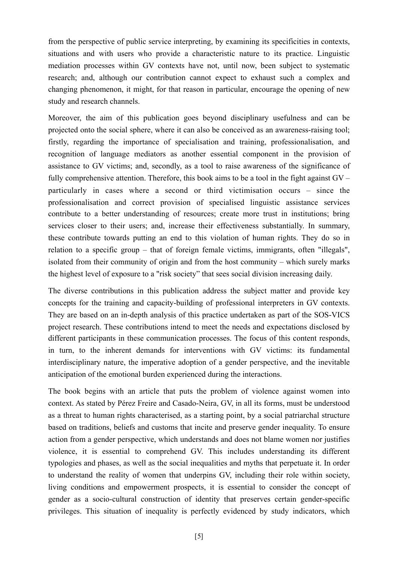from the perspective of public service interpreting, by examining its specificities in contexts, situations and with users who provide a characteristic nature to its practice. Linguistic mediation processes within GV contexts have not, until now, been subject to systematic research; and, although our contribution cannot expect to exhaust such a complex and changing phenomenon, it might, for that reason in particular, encourage the opening of new study and research channels.

Moreover, the aim of this publication goes beyond disciplinary usefulness and can be projected onto the social sphere, where it can also be conceived as an awareness-raising tool; firstly, regarding the importance of specialisation and training, professionalisation, and recognition of language mediators as another essential component in the provision of assistance to GV victims; and, secondly, as a tool to raise awareness of the significance of fully comprehensive attention. Therefore, this book aims to be a tool in the fight against GV – particularly in cases where a second or third victimisation occurs – since the professionalisation and correct provision of specialised linguistic assistance services contribute to a better understanding of resources; create more trust in institutions; bring services closer to their users; and, increase their effectiveness substantially. In summary, these contribute towards putting an end to this violation of human rights. They do so in relation to a specific group – that of foreign female victims, immigrants, often "illegals", isolated from their community of origin and from the host community – which surely marks the highest level of exposure to a "risk society" that sees social division increasing daily.

The diverse contributions in this publication address the subject matter and provide key concepts for the training and capacity-building of professional interpreters in GV contexts. They are based on an in-depth analysis of this practice undertaken as part of the SOS-VICS project research. These contributions intend to meet the needs and expectations disclosed by different participants in these communication processes. The focus of this content responds, in turn, to the inherent demands for interventions with GV victims: its fundamental interdisciplinary nature, the imperative adoption of a gender perspective, and the inevitable anticipation of the emotional burden experienced during the interactions.

The book begins with an article that puts the problem of violence against women into context. As stated by Pérez Freire and Casado-Neira, GV, in all its forms, must be understood as a threat to human rights characterised, as a starting point, by a social patriarchal structure based on traditions, beliefs and customs that incite and preserve gender inequality. To ensure action from a gender perspective, which understands and does not blame women nor justifies violence, it is essential to comprehend GV. This includes understanding its different typologies and phases, as well as the social inequalities and myths that perpetuate it. In order to understand the reality of women that underpins GV, including their role within society, living conditions and empowerment prospects, it is essential to consider the concept of gender as a socio-cultural construction of identity that preserves certain gender-specific privileges. This situation of inequality is perfectly evidenced by study indicators, which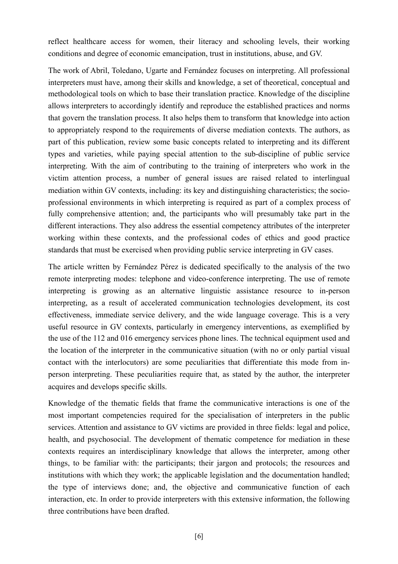reflect healthcare access for women, their literacy and schooling levels, their working conditions and degree of economic emancipation, trust in institutions, abuse, and GV.

The work of Abril, Toledano, Ugarte and Fernández focuses on interpreting. All professional interpreters must have, among their skills and knowledge, a set of theoretical, conceptual and methodological tools on which to base their translation practice. Knowledge of the discipline allows interpreters to accordingly identify and reproduce the established practices and norms that govern the translation process. It also helps them to transform that knowledge into action to appropriately respond to the requirements of diverse mediation contexts. The authors, as part of this publication, review some basic concepts related to interpreting and its different types and varieties, while paying special attention to the sub-discipline of public service interpreting. With the aim of contributing to the training of interpreters who work in the victim attention process, a number of general issues are raised related to interlingual mediation within GV contexts, including: its key and distinguishing characteristics; the socioprofessional environments in which interpreting is required as part of a complex process of fully comprehensive attention; and, the participants who will presumably take part in the different interactions. They also address the essential competency attributes of the interpreter working within these contexts, and the professional codes of ethics and good practice standards that must be exercised when providing public service interpreting in GV cases.

The article written by Fernández Pérez is dedicated specifically to the analysis of the two remote interpreting modes: telephone and video-conference interpreting. The use of remote interpreting is growing as an alternative linguistic assistance resource to in-person interpreting, as a result of accelerated communication technologies development, its cost effectiveness, immediate service delivery, and the wide language coverage. This is a very useful resource in GV contexts, particularly in emergency interventions, as exemplified by the use of the 112 and 016 emergency services phone lines. The technical equipment used and the location of the interpreter in the communicative situation (with no or only partial visual contact with the interlocutors) are some peculiarities that differentiate this mode from inperson interpreting. These peculiarities require that, as stated by the author, the interpreter acquires and develops specific skills.

Knowledge of the thematic fields that frame the communicative interactions is one of the most important competencies required for the specialisation of interpreters in the public services. Attention and assistance to GV victims are provided in three fields: legal and police, health, and psychosocial. The development of thematic competence for mediation in these contexts requires an interdisciplinary knowledge that allows the interpreter, among other things, to be familiar with: the participants; their jargon and protocols; the resources and institutions with which they work; the applicable legislation and the documentation handled; the type of interviews done; and, the objective and communicative function of each interaction, etc. In order to provide interpreters with this extensive information, the following three contributions have been drafted.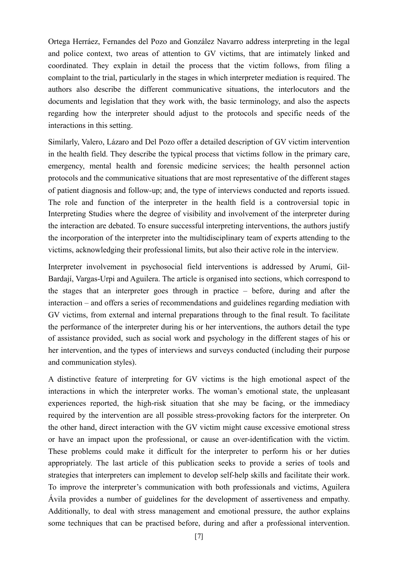Ortega Herráez, Fernandes del Pozo and González Navarro address interpreting in the legal and police context, two areas of attention to GV victims, that are intimately linked and coordinated. They explain in detail the process that the victim follows, from filing a complaint to the trial, particularly in the stages in which interpreter mediation is required. The authors also describe the different communicative situations, the interlocutors and the documents and legislation that they work with, the basic terminology, and also the aspects regarding how the interpreter should adjust to the protocols and specific needs of the interactions in this setting.

Similarly, Valero, Lázaro and Del Pozo offer a detailed description of GV victim intervention in the health field. They describe the typical process that victims follow in the primary care, emergency, mental health and forensic medicine services; the health personnel action protocols and the communicative situations that are most representative of the different stages of patient diagnosis and follow-up; and, the type of interviews conducted and reports issued. The role and function of the interpreter in the health field is a controversial topic in Interpreting Studies where the degree of visibility and involvement of the interpreter during the interaction are debated. To ensure successful interpreting interventions, the authors justify the incorporation of the interpreter into the multidisciplinary team of experts attending to the victims, acknowledging their professional limits, but also their active role in the interview.

Interpreter involvement in psychosocial field interventions is addressed by Arumí, Gil-Bardají, Vargas-Urpi and Aguilera. The article is organised into sections, which correspond to the stages that an interpreter goes through in practice – before, during and after the interaction – and offers a series of recommendations and guidelines regarding mediation with GV victims, from external and internal preparations through to the final result. To facilitate the performance of the interpreter during his or her interventions, the authors detail the type of assistance provided, such as social work and psychology in the different stages of his or her intervention, and the types of interviews and surveys conducted (including their purpose and communication styles).

A distinctive feature of interpreting for GV victims is the high emotional aspect of the interactions in which the interpreter works. The woman's emotional state, the unpleasant experiences reported, the high-risk situation that she may be facing, or the immediacy required by the intervention are all possible stress-provoking factors for the interpreter. On the other hand, direct interaction with the GV victim might cause excessive emotional stress or have an impact upon the professional, or cause an over-identification with the victim. These problems could make it difficult for the interpreter to perform his or her duties appropriately. The last article of this publication seeks to provide a series of tools and strategies that interpreters can implement to develop self-help skills and facilitate their work. To improve the interpreter's communication with both professionals and victims, Aguilera Ávila provides a number of guidelines for the development of assertiveness and empathy. Additionally, to deal with stress management and emotional pressure, the author explains some techniques that can be practised before, during and after a professional intervention.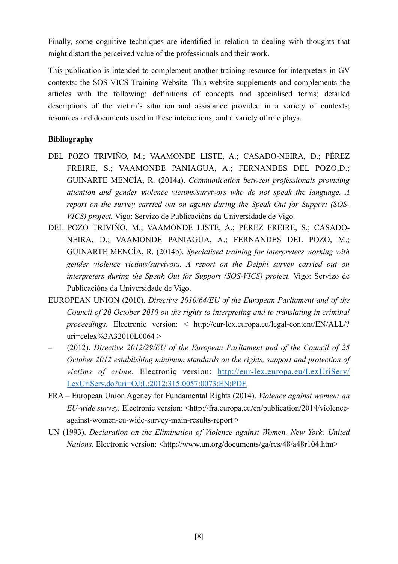Finally, some cognitive techniques are identified in relation to dealing with thoughts that might distort the perceived value of the professionals and their work.

This publication is intended to complement another training resource for interpreters in GV contexts: the SOS-VICS Training Website. This website supplements and complements the articles with the following: definitions of concepts and specialised terms; detailed descriptions of the victim's situation and assistance provided in a variety of contexts; resources and documents used in these interactions; and a variety of role plays.

## **Bibliography**

- DEL POZO TRIVIÑO, M.; VAAMONDE LISTE, A.; CASADO-NEIRA, D.; PÉREZ FREIRE, S.; VAAMONDE PANIAGUA, A.; FERNANDES DEL POZO,D.; GUINARTE MENCÍA, R. (2014a). *Communication between professionals providing attention and gender violence victims/survivors who do not speak the language. A report on the survey carried out on agents during the Speak Out for Support (SOS-VICS) project.* Vigo: Servizo de Publicacións da Universidade de Vigo.
- DEL POZO TRIVIÑO, M.; VAAMONDE LISTE, A.; PÉREZ FREIRE, S.; CASADO-NEIRA, D.; VAAMONDE PANIAGUA, A.; FERNANDES DEL POZO, M.; GUINARTE MENCÍA, R. (2014b). *Specialised training for interpreters working with gender violence victims/survivors. A report on the Delphi survey carried out on interpreters during the Speak Out for Support (SOS-VICS) project.* Vigo: Servizo de Publicacións da Universidade de Vigo.
- EUROPEAN UNION (2010). *Directive 2010/64/EU of the European Parliament and of the Council of 20 October 2010 on the rights to interpreting and to translating in criminal proceedings.* Electronic version: < http://eur-lex.europa.eu/legal-content/EN/ALL/? uri=celex%3A32010L0064 >
- (2012). *Directive 2012/29/EU of the European Parliament and of the Council of 25 October 2012 establishing minimum standards on the rights, support and protection of victims of crime.* Electronic version: [http://eur-lex.europa.eu/LexUriServ/](http://eur-lex.europa.eu/LexUriServ/LexUriServ.do?uri=OJ:L:2012:315:0057:0073:EN:PDF) [LexUriServ.do?uri=OJ:L:2012:315:0057:0073:EN:PDF](http://eur-lex.europa.eu/LexUriServ/LexUriServ.do?uri=OJ:L:2012:315:0057:0073:EN:PDF)
- FRA European Union Agency for Fundamental Rights (2014). *Violence against women: an EU-wide survey.* Electronic version: <http://fra.europa.eu/en/publication/2014/violenceagainst-women-eu-wide-survey-main-results-report >
- UN (1993). *Declaration on the Elimination of Violence against Women. New York: United Nations.* Electronic version: <http://www.un.org/documents/ga/res/48/a48r104.htm>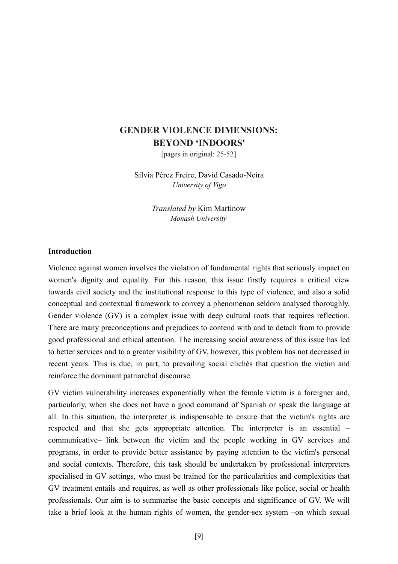# **GENDER VIOLENCE DIMENSIONS: BEYOND 'INDOORS'**

[pages in original: 25-52]

Silvia Pérez Freire, David Casado-Neira *University of Vigo*

> *Translated by* Kim Martinow *Monash University*

#### **Introduction**

Violence against women involves the violation of fundamental rights that seriously impact on women's dignity and equality. For this reason, this issue firstly requires a critical view towards civil society and the institutional response to this type of violence, and also a solid conceptual and contextual framework to convey a phenomenon seldom analysed thoroughly. Gender violence (GV) is a complex issue with deep cultural roots that requires reflection. There are many preconceptions and prejudices to contend with and to detach from to provide good professional and ethical attention. The increasing social awareness of this issue has led to better services and to a greater visibility of GV, however, this problem has not decreased in recent years. This is due, in part, to prevailing social clichés that question the victim and reinforce the dominant patriarchal discourse.

GV victim vulnerability increases exponentially when the female victim is a foreigner and, particularly, when she does not have a good command of Spanish or speak the language at all. In this situation, the interpreter is indispensable to ensure that the victim's rights are respected and that she gets appropriate attention. The interpreter is an essential – communicative– link between the victim and the people working in GV services and programs, in order to provide better assistance by paying attention to the victim's personal and social contexts. Therefore, this task should be undertaken by professional interpreters specialised in GV settings, who must be trained for the particularities and complexities that GV treatment entails and requires, as well as other professionals like police, social or health professionals. Our aim is to summarise the basic concepts and significance of GV. We will take a brief look at the human rights of women, the gender-sex system –on which sexual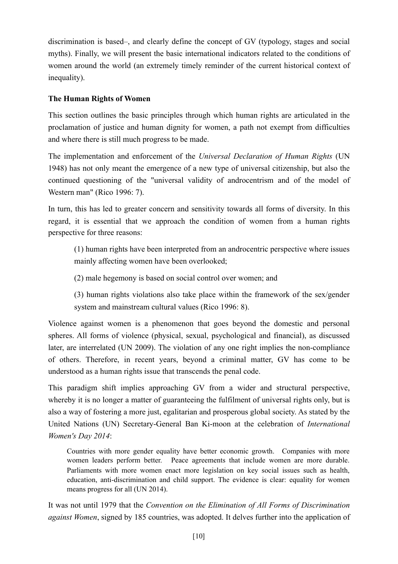discrimination is based–, and clearly define the concept of GV (typology, stages and social myths). Finally, we will present the basic international indicators related to the conditions of women around the world (an extremely timely reminder of the current historical context of inequality).

## **The Human Rights of Women**

This section outlines the basic principles through which human rights are articulated in the proclamation of justice and human dignity for women, a path not exempt from difficulties and where there is still much progress to be made.

The implementation and enforcement of the *Universal Declaration of Human Rights* (UN 1948) has not only meant the emergence of a new type of universal citizenship, but also the continued questioning of the "universal validity of androcentrism and of the model of Western man" (Rico 1996: 7).

In turn, this has led to greater concern and sensitivity towards all forms of diversity. In this regard, it is essential that we approach the condition of women from a human rights perspective for three reasons:

(1) human rights have been interpreted from an androcentric perspective where issues mainly affecting women have been overlooked;

(2) male hegemony is based on social control over women; and

(3) human rights violations also take place within the framework of the sex/gender system and mainstream cultural values (Rico 1996: 8).

Violence against women is a phenomenon that goes beyond the domestic and personal spheres. All forms of violence (physical, sexual, psychological and financial), as discussed later, are interrelated (UN 2009). The violation of any one right implies the non-compliance of others. Therefore, in recent years, beyond a criminal matter, GV has come to be understood as a human rights issue that transcends the penal code.

This paradigm shift implies approaching GV from a wider and structural perspective, whereby it is no longer a matter of guaranteeing the fulfilment of universal rights only, but is also a way of fostering a more just, egalitarian and prosperous global society. As stated by the United Nations (UN) Secretary-General Ban Ki-moon at the celebration of *International Women's Day 2014*:

Countries with more gender equality have better economic growth. Companies with more women leaders perform better. Peace agreements that include women are more durable. Parliaments with more women enact more legislation on key social issues such as health, education, anti-discrimination and child support. The evidence is clear: equality for women means progress for all (UN 2014).

It was not until 1979 that the *Convention on the Elimination of All Forms of Discrimination against Women*, signed by 185 countries, was adopted. It delves further into the application of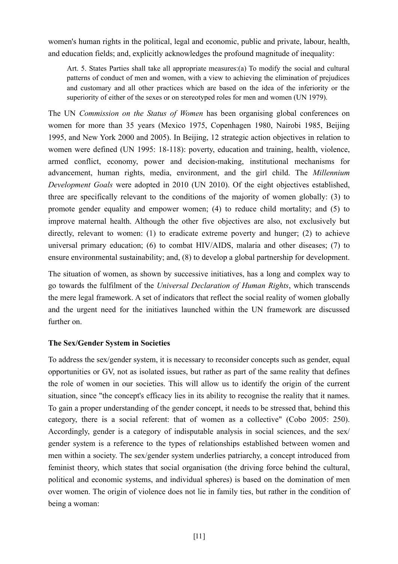women's human rights in the political, legal and economic, public and private, labour, health, and education fields; and, explicitly acknowledges the profound magnitude of inequality:

Art. 5. States Parties shall take all appropriate measures:(a) To modify the social and cultural patterns of conduct of men and women, with a view to achieving the elimination of prejudices and customary and all other practices which are based on the idea of the inferiority or the superiority of either of the sexes or on stereotyped roles for men and women (UN 1979).

The UN *Commission on the Status of Women* has been organising global conferences on women for more than 35 years (Mexico 1975, Copenhagen 1980, Nairobi 1985, Beijing 1995, and New York 2000 and 2005). In Beijing, 12 strategic action objectives in relation to women were defined (UN 1995: 18-118): poverty, education and training, health, violence, armed conflict, economy, power and decision-making, institutional mechanisms for advancement, human rights, media, environment, and the girl child. The *Millennium Development Goals* were adopted in 2010 (UN 2010). Of the eight objectives established, three are specifically relevant to the conditions of the majority of women globally: (3) to promote gender equality and empower women; (4) to reduce child mortality; and (5) to improve maternal health. Although the other five objectives are also, not exclusively but directly, relevant to women: (1) to eradicate extreme poverty and hunger; (2) to achieve universal primary education; (6) to combat HIV/AIDS, malaria and other diseases; (7) to ensure environmental sustainability; and, (8) to develop a global partnership for development.

The situation of women, as shown by successive initiatives, has a long and complex way to go towards the fulfilment of the *Universal Declaration of Human Rights*, which transcends the mere legal framework. A set of indicators that reflect the social reality of women globally and the urgent need for the initiatives launched within the UN framework are discussed further on.

## **The Sex/Gender System in Societies**

To address the sex/gender system, it is necessary to reconsider concepts such as gender, equal opportunities or GV, not as isolated issues, but rather as part of the same reality that defines the role of women in our societies. This will allow us to identify the origin of the current situation, since "the concept's efficacy lies in its ability to recognise the reality that it names. To gain a proper understanding of the gender concept, it needs to be stressed that, behind this category, there is a social referent: that of women as a collective" (Cobo 2005: 250). Accordingly, gender is a category of indisputable analysis in social sciences, and the sex/ gender system is a reference to the types of relationships established between women and men within a society. The sex/gender system underlies patriarchy, a concept introduced from feminist theory, which states that social organisation (the driving force behind the cultural, political and economic systems, and individual spheres) is based on the domination of men over women. The origin of violence does not lie in family ties, but rather in the condition of being a woman: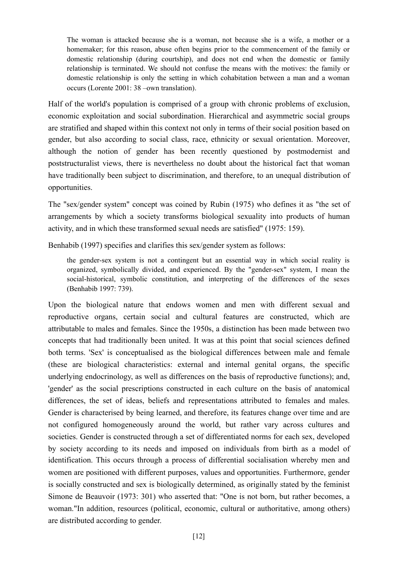The woman is attacked because she is a woman, not because she is a wife, a mother or a homemaker; for this reason, abuse often begins prior to the commencement of the family or domestic relationship (during courtship), and does not end when the domestic or family relationship is terminated. We should not confuse the means with the motives: the family or domestic relationship is only the setting in which cohabitation between a man and a woman occurs (Lorente 2001: 38 –own translation).

Half of the world's population is comprised of a group with chronic problems of exclusion, economic exploitation and social subordination. Hierarchical and asymmetric social groups are stratified and shaped within this context not only in terms of their social position based on gender, but also according to social class, race, ethnicity or sexual orientation. Moreover, although the notion of gender has been recently questioned by postmodernist and poststructuralist views, there is nevertheless no doubt about the historical fact that woman have traditionally been subject to discrimination, and therefore, to an unequal distribution of opportunities.

The "sex/gender system" concept was coined by Rubin (1975) who defines it as "the set of arrangements by which a society transforms biological sexuality into products of human activity, and in which these transformed sexual needs are satisfied" (1975: 159).

Benhabib (1997) specifies and clarifies this sex/gender system as follows:

the gender-sex system is not a contingent but an essential way in which social reality is organized, symbolically divided, and experienced. By the "gender-sex" system, I mean the social-historical, symbolic constitution, and interpreting of the differences of the sexes (Benhabib 1997: 739).

Upon the biological nature that endows women and men with different sexual and reproductive organs, certain social and cultural features are constructed, which are attributable to males and females. Since the 1950s, a distinction has been made between two concepts that had traditionally been united. It was at this point that social sciences defined both terms. 'Sex' is conceptualised as the biological differences between male and female (these are biological characteristics: external and internal genital organs, the specific underlying endocrinology, as well as differences on the basis of reproductive functions); and, 'gender' as the social prescriptions constructed in each culture on the basis of anatomical differences, the set of ideas, beliefs and representations attributed to females and males. Gender is characterised by being learned, and therefore, its features change over time and are not configured homogeneously around the world, but rather vary across cultures and societies. Gender is constructed through a set of differentiated norms for each sex, developed by society according to its needs and imposed on individuals from birth as a model of identification. This occurs through a process of differential socialisation whereby men and women are positioned with different purposes, values and opportunities. Furthermore, gender is socially constructed and sex is biologically determined, as originally stated by the feminist Simone de Beauvoir (1973: 301) who asserted that: "One is not born, but rather becomes, a woman."In addition, resources (political, economic, cultural or authoritative, among others) are distributed according to gender.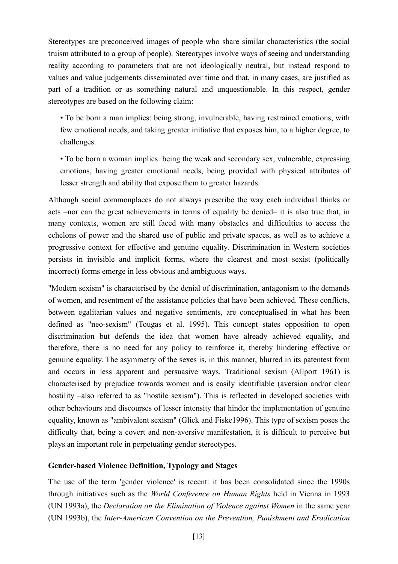Stereotypes are preconceived images of people who share similar characteristics (the social truism attributed to a group of people). Stereotypes involve ways of seeing and understanding reality according to parameters that are not ideologically neutral, but instead respond to values and value judgements disseminated over time and that, in many cases, are justified as part of a tradition or as something natural and unquestionable. In this respect, gender stereotypes are based on the following claim:

• To be born a man implies: being strong, invulnerable, having restrained emotions, with few emotional needs, and taking greater initiative that exposes him, to a higher degree, to challenges.

• To be born a woman implies: being the weak and secondary sex, vulnerable, expressing emotions, having greater emotional needs, being provided with physical attributes of lesser strength and ability that expose them to greater hazards.

Although social commonplaces do not always prescribe the way each individual thinks or acts –nor can the great achievements in terms of equality be denied– it is also true that, in many contexts, women are still faced with many obstacles and difficulties to access the echelons of power and the shared use of public and private spaces, as well as to achieve a progressive context for effective and genuine equality. Discrimination in Western societies persists in invisible and implicit forms, where the clearest and most sexist (politically incorrect) forms emerge in less obvious and ambiguous ways.

"Modern sexism" is characterised by the denial of discrimination, antagonism to the demands of women, and resentment of the assistance policies that have been achieved. These conflicts, between egalitarian values and negative sentiments, are conceptualised in what has been defined as "neo-sexism" (Tougas et al. 1995). This concept states opposition to open discrimination but defends the idea that women have already achieved equality, and therefore, there is no need for any policy to reinforce it, thereby hindering effective or genuine equality. The asymmetry of the sexes is, in this manner, blurred in its patentest form and occurs in less apparent and persuasive ways. Traditional sexism (Allport 1961) is characterised by prejudice towards women and is easily identifiable (aversion and/or clear hostility –also referred to as "hostile sexism"). This is reflected in developed societies with other behaviours and discourses of lesser intensity that hinder the implementation of genuine equality, known as "ambivalent sexism" (Glick and Fiske1996). This type of sexism poses the difficulty that, being a covert and non-aversive manifestation, it is difficult to perceive but plays an important role in perpetuating gender stereotypes.

## **Gender-based Violence Definition, Typology and Stages**

The use of the term 'gender violence' is recent: it has been consolidated since the 1990s through initiatives such as the *World Conference on Human Rights* held in Vienna in 1993 (UN 1993a), the *Declaration on the Elimination of Violence against Women* in the same year (UN 1993b), the *Inter-American Convention on the Prevention, Punishment and Eradication*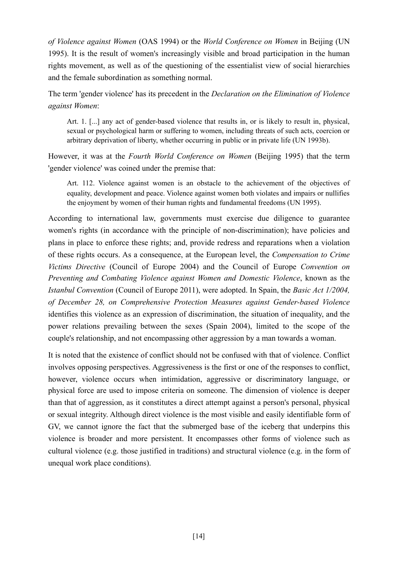*of Violence against Women* (OAS 1994) or the *World Conference on Women* in Beijing (UN 1995). It is the result of women's increasingly visible and broad participation in the human rights movement, as well as of the questioning of the essentialist view of social hierarchies and the female subordination as something normal.

The term 'gender violence' has its precedent in the *Declaration on the Elimination of Violence against Women*:

Art. 1. [...] any act of gender-based violence that results in, or is likely to result in, physical, sexual or psychological harm or suffering to women, including threats of such acts, coercion or arbitrary deprivation of liberty, whether occurring in public or in private life (UN 1993b).

However, it was at the *Fourth World Conference on Women* (Beijing 1995) that the term 'gender violence' was coined under the premise that:

Art. 112. Violence against women is an obstacle to the achievement of the objectives of equality, development and peace. Violence against women both violates and impairs or nullifies the enjoyment by women of their human rights and fundamental freedoms (UN 1995).

According to international law, governments must exercise due diligence to guarantee women's rights (in accordance with the principle of non-discrimination); have policies and plans in place to enforce these rights; and, provide redress and reparations when a violation of these rights occurs. As a consequence, at the European level, the *Compensation to Crime Victims Directive* (Council of Europe 2004) and the Council of Europe *Convention on Preventing and Combating Violence against Women and Domestic Violence*, known as the *Istanbul Convention* (Council of Europe 2011), were adopted. In Spain, the *Basic Act 1/2004, of December 28, on Comprehensive Protection Measures against Gender-based Violence* identifies this violence as an expression of discrimination, the situation of inequality, and the power relations prevailing between the sexes (Spain 2004), limited to the scope of the couple's relationship, and not encompassing other aggression by a man towards a woman.

It is noted that the existence of conflict should not be confused with that of violence. Conflict involves opposing perspectives. Aggressiveness is the first or one of the responses to conflict, however, violence occurs when intimidation, aggressive or discriminatory language, or physical force are used to impose criteria on someone. The dimension of violence is deeper than that of aggression, as it constitutes a direct attempt against a person's personal, physical or sexual integrity. Although direct violence is the most visible and easily identifiable form of GV, we cannot ignore the fact that the submerged base of the iceberg that underpins this violence is broader and more persistent. It encompasses other forms of violence such as cultural violence (e.g. those justified in traditions) and structural violence (e.g. in the form of unequal work place conditions).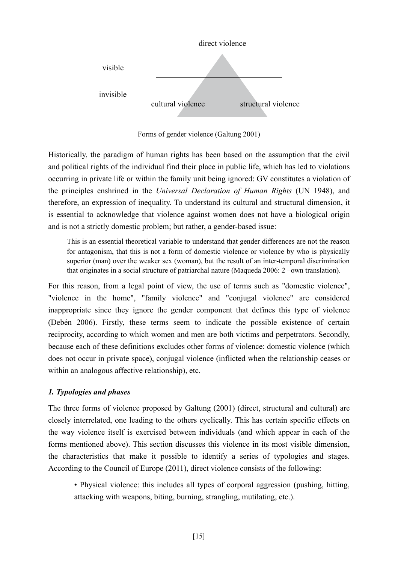

Forms of gender violence (Galtung 2001)

Historically, the paradigm of human rights has been based on the assumption that the civil and political rights of the individual find their place in public life, which has led to violations occurring in private life or within the family unit being ignored: GV constitutes a violation of the principles enshrined in the *Universal Declaration of Human Rights* (UN 1948), and therefore, an expression of inequality. To understand its cultural and structural dimension, it is essential to acknowledge that violence against women does not have a biological origin and is not a strictly domestic problem; but rather, a gender-based issue:

This is an essential theoretical variable to understand that gender differences are not the reason for antagonism, that this is not a form of domestic violence or violence by who is physically superior (man) over the weaker sex (woman), but the result of an inter-temporal discrimination that originates in a social structure of patriarchal nature (Maqueda 2006: 2 –own translation).

For this reason, from a legal point of view, the use of terms such as "domestic violence", "violence in the home", "family violence" and "conjugal violence" are considered inappropriate since they ignore the gender component that defines this type of violence (Debén 2006). Firstly, these terms seem to indicate the possible existence of certain reciprocity, according to which women and men are both victims and perpetrators. Secondly, because each of these definitions excludes other forms of violence: domestic violence (which does not occur in private space), conjugal violence (inflicted when the relationship ceases or within an analogous affective relationship), etc.

# *1. Typologies and phases*

The three forms of violence proposed by Galtung (2001) (direct, structural and cultural) are closely interrelated, one leading to the others cyclically. This has certain specific effects on the way violence itself is exercised between individuals (and which appear in each of the forms mentioned above). This section discusses this violence in its most visible dimension, the characteristics that make it possible to identify a series of typologies and stages. According to the Council of Europe (2011), direct violence consists of the following:

• Physical violence: this includes all types of corporal aggression (pushing, hitting, attacking with weapons, biting, burning, strangling, mutilating, etc.).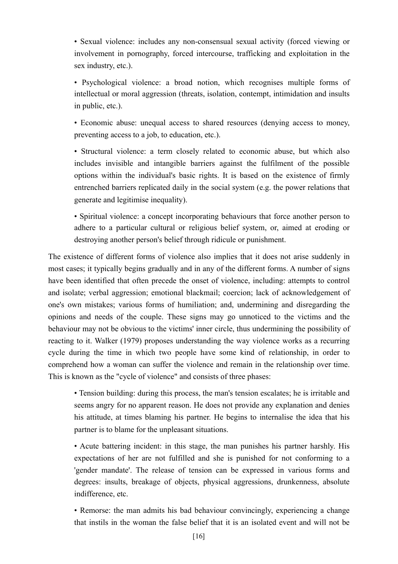• Sexual violence: includes any non-consensual sexual activity (forced viewing or involvement in pornography, forced intercourse, trafficking and exploitation in the sex industry, etc.).

• Psychological violence: a broad notion, which recognises multiple forms of intellectual or moral aggression (threats, isolation, contempt, intimidation and insults in public, etc.).

• Economic abuse: unequal access to shared resources (denying access to money, preventing access to a job, to education, etc.).

• Structural violence: a term closely related to economic abuse, but which also includes invisible and intangible barriers against the fulfilment of the possible options within the individual's basic rights. It is based on the existence of firmly entrenched barriers replicated daily in the social system (e.g. the power relations that generate and legitimise inequality).

• Spiritual violence: a concept incorporating behaviours that force another person to adhere to a particular cultural or religious belief system, or, aimed at eroding or destroying another person's belief through ridicule or punishment.

The existence of different forms of violence also implies that it does not arise suddenly in most cases; it typically begins gradually and in any of the different forms. A number of signs have been identified that often precede the onset of violence, including: attempts to control and isolate; verbal aggression; emotional blackmail; coercion; lack of acknowledgement of one's own mistakes; various forms of humiliation; and, undermining and disregarding the opinions and needs of the couple. These signs may go unnoticed to the victims and the behaviour may not be obvious to the victims' inner circle, thus undermining the possibility of reacting to it. Walker (1979) proposes understanding the way violence works as a recurring cycle during the time in which two people have some kind of relationship, in order to comprehend how a woman can suffer the violence and remain in the relationship over time. This is known as the "cycle of violence" and consists of three phases:

• Tension building: during this process, the man's tension escalates; he is irritable and seems angry for no apparent reason. He does not provide any explanation and denies his attitude, at times blaming his partner. He begins to internalise the idea that his partner is to blame for the unpleasant situations.

• Acute battering incident: in this stage, the man punishes his partner harshly. His expectations of her are not fulfilled and she is punished for not conforming to a 'gender mandate'. The release of tension can be expressed in various forms and degrees: insults, breakage of objects, physical aggressions, drunkenness, absolute indifference, etc.

• Remorse: the man admits his bad behaviour convincingly, experiencing a change that instils in the woman the false belief that it is an isolated event and will not be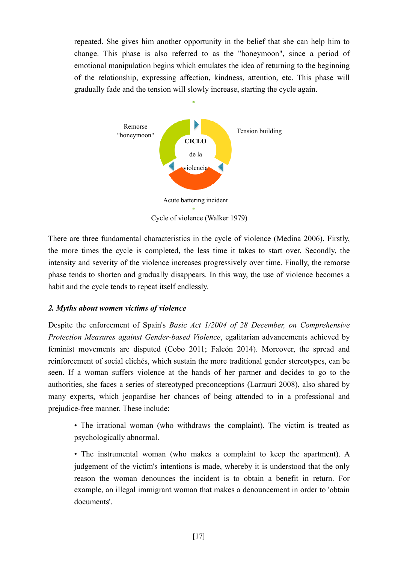repeated. She gives him another opportunity in the belief that she can help him to change. This phase is also referred to as the "honeymoon", since a period of emotional manipulation begins which emulates the idea of returning to the beginning of the relationship, expressing affection, kindness, attention, etc. This phase will gradually fade and the tension will slowly increase, starting the cycle again.



There are three fundamental characteristics in the cycle of violence (Medina 2006). Firstly, the more times the cycle is completed, the less time it takes to start over. Secondly, the intensity and severity of the violence increases progressively over time. Finally, the remorse phase tends to shorten and gradually disappears. In this way, the use of violence becomes a habit and the cycle tends to repeat itself endlessly.

## *2. Myths about women victims of violence*

Despite the enforcement of Spain's *Basic Act 1/2004 of 28 December, on Comprehensive Protection Measures against Gender-based Violence*, egalitarian advancements achieved by feminist movements are disputed (Cobo 2011; Falcón 2014). Moreover, the spread and reinforcement of social clichés, which sustain the more traditional gender stereotypes, can be seen. If a woman suffers violence at the hands of her partner and decides to go to the authorities, she faces a series of stereotyped preconceptions (Larrauri 2008), also shared by many experts, which jeopardise her chances of being attended to in a professional and prejudice-free manner. These include:

• The irrational woman (who withdraws the complaint). The victim is treated as psychologically abnormal.

• The instrumental woman (who makes a complaint to keep the apartment). A judgement of the victim's intentions is made, whereby it is understood that the only reason the woman denounces the incident is to obtain a benefit in return. For example, an illegal immigrant woman that makes a denouncement in order to 'obtain documents'.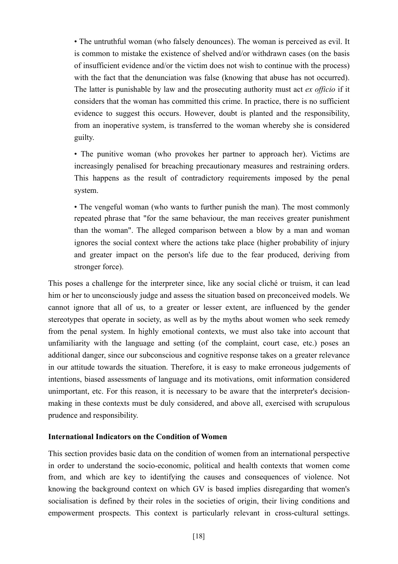• The untruthful woman (who falsely denounces). The woman is perceived as evil. It is common to mistake the existence of shelved and/or withdrawn cases (on the basis of insufficient evidence and/or the victim does not wish to continue with the process) with the fact that the denunciation was false (knowing that abuse has not occurred). The latter is punishable by law and the prosecuting authority must act *ex officio* if it considers that the woman has committed this crime. In practice, there is no sufficient evidence to suggest this occurs. However, doubt is planted and the responsibility, from an inoperative system, is transferred to the woman whereby she is considered guilty.

• The punitive woman (who provokes her partner to approach her). Victims are increasingly penalised for breaching precautionary measures and restraining orders. This happens as the result of contradictory requirements imposed by the penal system.

• The vengeful woman (who wants to further punish the man). The most commonly repeated phrase that "for the same behaviour, the man receives greater punishment than the woman". The alleged comparison between a blow by a man and woman ignores the social context where the actions take place (higher probability of injury and greater impact on the person's life due to the fear produced, deriving from stronger force).

This poses a challenge for the interpreter since, like any social cliché or truism, it can lead him or her to unconsciously judge and assess the situation based on preconceived models. We cannot ignore that all of us, to a greater or lesser extent, are influenced by the gender stereotypes that operate in society, as well as by the myths about women who seek remedy from the penal system. In highly emotional contexts, we must also take into account that unfamiliarity with the language and setting (of the complaint, court case, etc.) poses an additional danger, since our subconscious and cognitive response takes on a greater relevance in our attitude towards the situation. Therefore, it is easy to make erroneous judgements of intentions, biased assessments of language and its motivations, omit information considered unimportant, etc. For this reason, it is necessary to be aware that the interpreter's decisionmaking in these contexts must be duly considered, and above all, exercised with scrupulous prudence and responsibility.

#### **International Indicators on the Condition of Women**

This section provides basic data on the condition of women from an international perspective in order to understand the socio-economic, political and health contexts that women come from, and which are key to identifying the causes and consequences of violence. Not knowing the background context on which GV is based implies disregarding that women's socialisation is defined by their roles in the societies of origin, their living conditions and empowerment prospects. This context is particularly relevant in cross-cultural settings.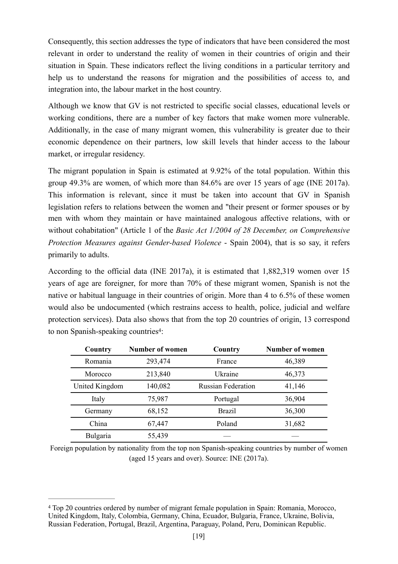Consequently, this section addresses the type of indicators that have been considered the most relevant in order to understand the reality of women in their countries of origin and their situation in Spain. These indicators reflect the living conditions in a particular territory and help us to understand the reasons for migration and the possibilities of access to, and integration into, the labour market in the host country.

Although we know that GV is not restricted to specific social classes, educational levels or working conditions, there are a number of key factors that make women more vulnerable. Additionally, in the case of many migrant women, this vulnerability is greater due to their economic dependence on their partners, low skill levels that hinder access to the labour market, or irregular residency.

The migrant population in Spain is estimated at 9.92% of the total population. Within this group 49.3% are women, of which more than 84.6% are over 15 years of age (INE 2017a). This information is relevant, since it must be taken into account that GV in Spanish legislation refers to relations between the women and "their present or former spouses or by men with whom they maintain or have maintained analogous affective relations, with or without cohabitation" (Article 1 of the *Basic Act 1/2004 of 28 December, on Comprehensive Protection Measures against Gender-based Violence* - Spain 2004), that is so say, it refers primarily to adults.

According to the official data (INE 2017a), it is estimated that 1,882,319 women over 15 years of age are foreigner, for more than 70% of these migrant women, Spanish is not the native or habitual language in their countries of origin. More than 4 to 6.5% of these women would also be undocumented (which restrains access to health, police, judicial and welfare protection services). Data also shows that from the top 20 countries of origin, 13 correspond to non Spanish-speaking countries<sup>4</sup>:

<span id="page-18-1"></span>

| Country        | <b>Number of women</b> | Country                   | <b>Number of women</b> |
|----------------|------------------------|---------------------------|------------------------|
| Romania        | 293,474                | France                    | 46,389                 |
| Morocco        | 213,840                | Ukraine                   | 46,373                 |
| United Kingdom | 140,082                | <b>Russian Federation</b> | 41,146                 |
| Italy          | 75,987                 | Portugal                  | 36,904                 |
| Germany        | 68,152                 | <b>Brazil</b>             | 36,300                 |
| China          | 67,447                 | Poland                    | 31,682                 |
| Bulgaria       | 55,439                 |                           |                        |

Foreign population by nationality from the top non Spanish-speaking countries by number of women (aged 15 years and over). Source: INE (2017a).

<span id="page-18-0"></span>Top 20 countries ordered by number of migrant female population in Spain: Romania, Morocco, [4](#page-18-1) United Kingdom, Italy, Colombia, Germany, China, Ecuador, Bulgaria, France, Ukraine, Bolivia, Russian Federation, Portugal, Brazil, Argentina, Paraguay, Poland, Peru, Dominican Republic.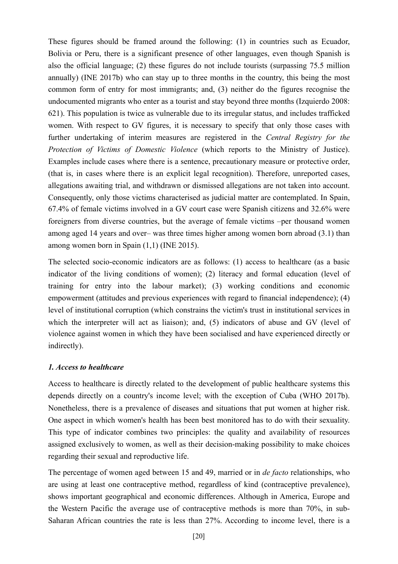These figures should be framed around the following: (1) in countries such as Ecuador, Bolivia or Peru, there is a significant presence of other languages, even though Spanish is also the official language; (2) these figures do not include tourists (surpassing 75.5 million annually) (INE 2017b) who can stay up to three months in the country, this being the most common form of entry for most immigrants; and, (3) neither do the figures recognise the undocumented migrants who enter as a tourist and stay beyond three months (Izquierdo 2008: 621). This population is twice as vulnerable due to its irregular status, and includes trafficked women. With respect to GV figures, it is necessary to specify that only those cases with further undertaking of interim measures are registered in the *Central Registry for the Protection of Victims of Domestic Violence* (which reports to the Ministry of Justice). Examples include cases where there is a sentence, precautionary measure or protective order, (that is, in cases where there is an explicit legal recognition). Therefore, unreported cases, allegations awaiting trial, and withdrawn or dismissed allegations are not taken into account. Consequently, only those victims characterised as judicial matter are contemplated. In Spain, 67.4% of female victims involved in a GV court case were Spanish citizens and 32.6% were foreigners from diverse countries, but the average of female victims –per thousand women among aged 14 years and over– was three times higher among women born abroad (3.1) than among women born in Spain (1,1) (INE 2015).

The selected socio-economic indicators are as follows: (1) access to healthcare (as a basic indicator of the living conditions of women); (2) literacy and formal education (level of training for entry into the labour market); (3) working conditions and economic empowerment (attitudes and previous experiences with regard to financial independence); (4) level of institutional corruption (which constrains the victim's trust in institutional services in which the interpreter will act as liaison); and, (5) indicators of abuse and GV (level of violence against women in which they have been socialised and have experienced directly or indirectly).

#### *1. Access to healthcare*

Access to healthcare is directly related to the development of public healthcare systems this depends directly on a country's income level; with the exception of Cuba (WHO 2017b). Nonetheless, there is a prevalence of diseases and situations that put women at higher risk. One aspect in which women's health has been best monitored has to do with their sexuality. This type of indicator combines two principles: the quality and availability of resources assigned exclusively to women, as well as their decision-making possibility to make choices regarding their sexual and reproductive life.

The percentage of women aged between 15 and 49, married or in *de facto* relationships, who are using at least one contraceptive method, regardless of kind (contraceptive prevalence), shows important geographical and economic differences. Although in America, Europe and the Western Pacific the average use of contraceptive methods is more than 70%, in sub-Saharan African countries the rate is less than 27%. According to income level, there is a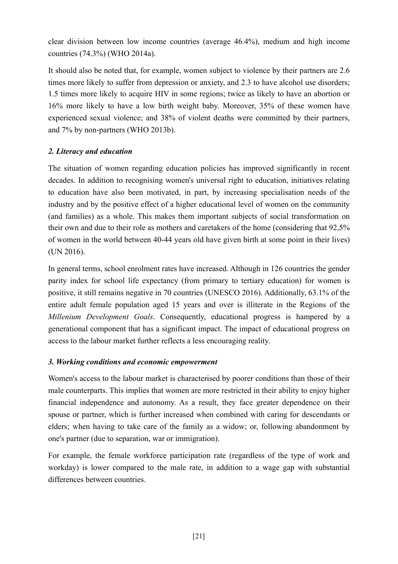clear division between low income countries (average 46.4%), medium and high income countries (74.3%) (WHO 2014a).

It should also be noted that, for example, women subject to violence by their partners are 2.6 times more likely to suffer from depression or anxiety, and 2.3 to have alcohol use disorders; 1.5 times more likely to acquire HIV in some regions; twice as likely to have an abortion or 16% more likely to have a low birth weight baby. Moreover, 35% of these women have experienced sexual violence; and 38% of violent deaths were committed by their partners, and 7% by non-partners (WHO 2013b).

## *2. Literacy and education*

The situation of women regarding education policies has improved significantly in recent decades. In addition to recognising women's universal right to education, initiatives relating to education have also been motivated, in part, by increasing specialisation needs of the industry and by the positive effect of a higher educational level of women on the community (and families) as a whole. This makes them important subjects of social transformation on their own and due to their role as mothers and caretakers of the home (considering that 92,5% of women in the world between 40-44 years old have given birth at some point in their lives) (UN 2016).

In general terms, school enrolment rates have increased. Although in 126 countries the gender parity index for school life expectancy (from primary to tertiary education) for women is positive, it still remains negative in 70 countries (UNESCO 2016). Additionally, 63.1% of the entire adult female population aged 15 years and over is illiterate in the Regions of the *Millenium Development Goals*. Consequently, educational progress is hampered by a generational component that has a significant impact. The impact of educational progress on access to the labour market further reflects a less encouraging reality.

## *3. Working conditions and economic empowerment*

Women's access to the labour market is characterised by poorer conditions than those of their male counterparts. This implies that women are more restricted in their ability to enjoy higher financial independence and autonomy. As a result, they face greater dependence on their spouse or partner, which is further increased when combined with caring for descendants or elders; when having to take care of the family as a widow; or, following abandonment by one's partner (due to separation, war or immigration).

For example, the female workforce participation rate (regardless of the type of work and workday) is lower compared to the male rate, in addition to a wage gap with substantial differences between countries.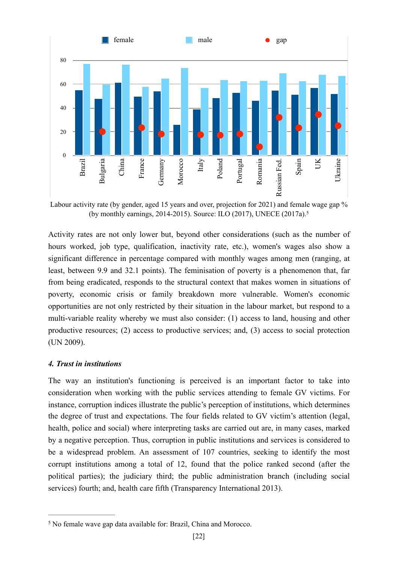

<span id="page-21-1"></span>Labour activity rate (by gender, aged 15 years and over, projection for 2021) and female wage gap % (by monthly earnings, 2014-2015). Source: ILO (2017), UNECE (2017a)[.5](#page-21-0)

Activity rates are not only lower but, beyond other considerations (such as the number of hours worked, job type, qualification, inactivity rate, etc.), women's wages also show a significant difference in percentage compared with monthly wages among men (ranging, at least, between 9.9 and 32.1 points). The feminisation of poverty is a phenomenon that, far from being eradicated, responds to the structural context that makes women in situations of poverty, economic crisis or family breakdown more vulnerable. Women's economic opportunities are not only restricted by their situation in the labour market, but respond to a multi-variable reality whereby we must also consider: (1) access to land, housing and other productive resources; (2) access to productive services; and, (3) access to social protection (UN 2009).

#### *4. Trust in institutions*

The way an institution's functioning is perceived is an important factor to take into consideration when working with the public services attending to female GV victims. For instance, corruption indices illustrate the public's perception of institutions, which determines the degree of trust and expectations. The four fields related to GV victim's attention (legal, health, police and social) where interpreting tasks are carried out are, in many cases, marked by a negative perception. Thus, corruption in public institutions and services is considered to be a widespread problem. An assessment of 107 countries, seeking to identify the most corrupt institutions among a total of 12, found that the police ranked second (after the political parties); the judiciary third; the public administration branch (including social services) fourth; and, health care fifth (Transparency International 2013).

<span id="page-21-0"></span><sup>&</sup>lt;sup>[5](#page-21-1)</sup> No female wave gap data available for: Brazil, China and Morocco.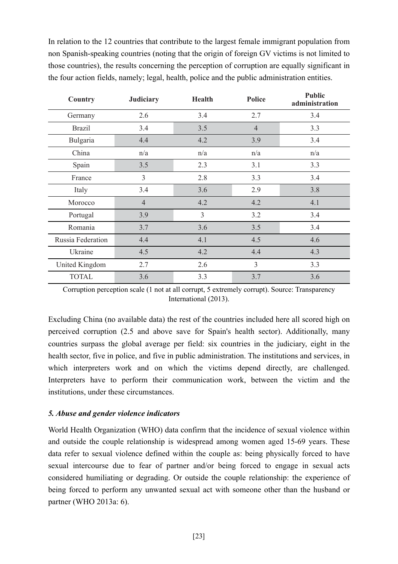In relation to the 12 countries that contribute to the largest female immigrant population from non Spanish-speaking countries (noting that the origin of foreign GV victims is not limited to those countries), the results concerning the perception of corruption are equally significant in the four action fields, namely; legal, health, police and the public administration entities.

| Country           | <b>Judiciary</b> | <b>Health</b>  | <b>Police</b>  | <b>Public</b><br>administration |
|-------------------|------------------|----------------|----------------|---------------------------------|
| Germany           | 2.6              | 3.4            | 2.7            | 3.4                             |
| <b>Brazil</b>     | 3.4              | 3.5            | $\overline{4}$ | 3.3                             |
| Bulgaria          | 4.4              | 4.2            | 3.9            | 3.4                             |
| China             | n/a              | n/a            | n/a            | n/a                             |
| Spain             | 3.5              | 2.3            | 3.1            | 3.3                             |
| France            | 3                | 2.8            | 3.3            | 3.4                             |
| Italy             | 3.4              | 3.6            | 2.9            | 3.8                             |
| Morocco           | $\overline{4}$   | 4.2            | 4.2            | 4.1                             |
| Portugal          | 3.9              | $\overline{3}$ | 3.2            | 3.4                             |
| Romania           | 3.7              | 3.6            | 3.5            | 3.4                             |
| Russia Federation | 4.4              | 4.1            | 4.5            | 4.6                             |
| Ukraine           | 4.5              | 4.2            | 4.4            | 4.3                             |
| United Kingdom    | 2.7              | 2.6            | 3              | 3.3                             |
| <b>TOTAL</b>      | 3.6              | 3.3            | 3.7            | 3.6                             |

Corruption perception scale (1 not at all corrupt, 5 extremely corrupt). Source: Transparency International (2013).

Excluding China (no available data) the rest of the countries included here all scored high on perceived corruption (2.5 and above save for Spain's health sector). Additionally, many countries surpass the global average per field: six countries in the judiciary, eight in the health sector, five in police, and five in public administration. The institutions and services, in which interpreters work and on which the victims depend directly, are challenged. Interpreters have to perform their communication work, between the victim and the institutions, under these circumstances.

#### *5. Abuse and gender violence indicators*

World Health Organization (WHO) data confirm that the incidence of sexual violence within and outside the couple relationship is widespread among women aged 15-69 years. These data refer to sexual violence defined within the couple as: being physically forced to have sexual intercourse due to fear of partner and/or being forced to engage in sexual acts considered humiliating or degrading. Or outside the couple relationship: the experience of being forced to perform any unwanted sexual act with someone other than the husband or partner (WHO 2013a: 6).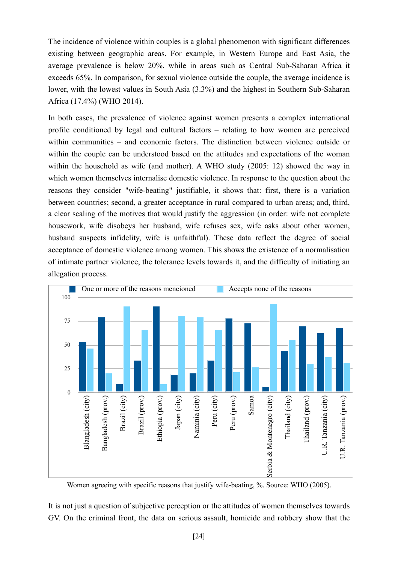The incidence of violence within couples is a global phenomenon with significant differences existing between geographic areas. For example, in Western Europe and East Asia, the average prevalence is below 20%, while in areas such as Central Sub-Saharan Africa it exceeds 65%. In comparison, for sexual violence outside the couple, the average incidence is lower, with the lowest values in South Asia (3.3%) and the highest in Southern Sub-Saharan Africa (17.4%) (WHO 2014).

In both cases, the prevalence of violence against women presents a complex international profile conditioned by legal and cultural factors – relating to how women are perceived within communities – and economic factors. The distinction between violence outside or within the couple can be understood based on the attitudes and expectations of the woman within the household as wife (and mother). A WHO study (2005: 12) showed the way in which women themselves internalise domestic violence. In response to the question about the reasons they consider "wife-beating" justifiable, it shows that: first, there is a variation between countries; second, a greater acceptance in rural compared to urban areas; and, third, a clear scaling of the motives that would justify the aggression (in order: wife not complete housework, wife disobeys her husband, wife refuses sex, wife asks about other women, husband suspects infidelity, wife is unfaithful). These data reflect the degree of social acceptance of domestic violence among women. This shows the existence of a normalisation of intimate partner violence, the tolerance levels towards it, and the difficulty of initiating an allegation process.



Women agreeing with specific reasons that justify wife-beating, %. Source: WHO (2005).

It is not just a question of subjective perception or the attitudes of women themselves towards GV. On the criminal front, the data on serious assault, homicide and robbery show that the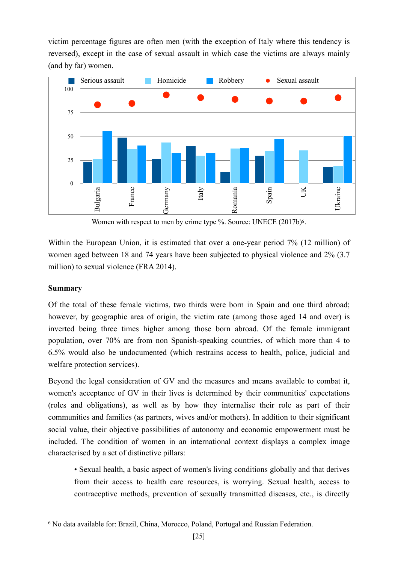victim percentage figures are often men (with the exception of Italy where this tendency is reversed), except in the case of sexual assault in which case the victims are always mainly (and by far) women.



<span id="page-24-1"></span>Women with respect to men by crime type %. Source: UNECE (2017b)<sup>[6](#page-24-0)</sup>.

Within the European Union, it is estimated that over a one-year period 7% (12 million) of women aged between 18 and 74 years have been subjected to physical violence and 2% (3.7 million) to sexual violence (FRA 2014).

## **Summary**

Of the total of these female victims, two thirds were born in Spain and one third abroad; however, by geographic area of origin, the victim rate (among those aged 14 and over) is inverted being three times higher among those born abroad. Of the female immigrant population, over 70% are from non Spanish-speaking countries, of which more than 4 to 6.5% would also be undocumented (which restrains access to health, police, judicial and welfare protection services).

Beyond the legal consideration of GV and the measures and means available to combat it, women's acceptance of GV in their lives is determined by their communities' expectations (roles and obligations), as well as by how they internalise their role as part of their communities and families (as partners, wives and/or mothers). In addition to their significant social value, their objective possibilities of autonomy and economic empowerment must be included. The condition of women in an international context displays a complex image characterised by a set of distinctive pillars:

• Sexual health, a basic aspect of women's living conditions globally and that derives from their access to health care resources, is worrying. Sexual health, access to contraceptive methods, prevention of sexually transmitted diseases, etc., is directly

<span id="page-24-0"></span><sup>&</sup>lt;sup>[6](#page-24-1)</sup> No data available for: Brazil, China, Morocco, Poland, Portugal and Russian Federation.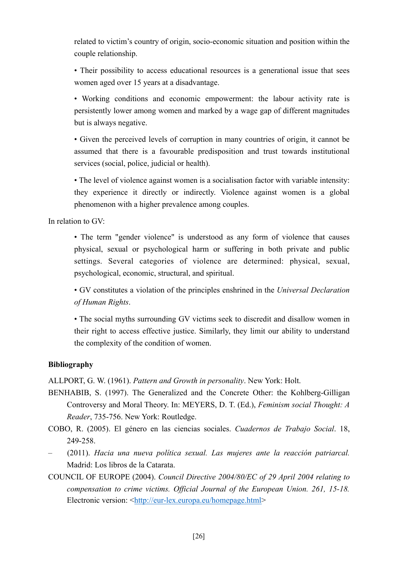related to victim's country of origin, socio-economic situation and position within the couple relationship.

• Their possibility to access educational resources is a generational issue that sees women aged over 15 years at a disadvantage.

• Working conditions and economic empowerment: the labour activity rate is persistently lower among women and marked by a wage gap of different magnitudes but is always negative.

• Given the perceived levels of corruption in many countries of origin, it cannot be assumed that there is a favourable predisposition and trust towards institutional services (social, police, judicial or health).

• The level of violence against women is a socialisation factor with variable intensity: they experience it directly or indirectly. Violence against women is a global phenomenon with a higher prevalence among couples.

In relation to GV:

• The term "gender violence" is understood as any form of violence that causes physical, sexual or psychological harm or suffering in both private and public settings. Several categories of violence are determined: physical, sexual, psychological, economic, structural, and spiritual.

• GV constitutes a violation of the principles enshrined in the *Universal Declaration of Human Rights*.

• The social myths surrounding GV victims seek to discredit and disallow women in their right to access effective justice. Similarly, they limit our ability to understand the complexity of the condition of women.

# **Bibliography**

ALLPORT, G. W. (1961). *Pattern and Growth in personality*. New York: Holt.

- BENHABIB, S. (1997). The Generalized and the Concrete Other: the Kohlberg-Gilligan Controversy and Moral Theory. In: MEYERS, D. T. (Ed.), *Feminism social Thought: A Reader*, 735-756. New York: Routledge.
- COBO, R. (2005). El género en las ciencias sociales. *Cuadernos de Trabajo Social*. 18, 249-258.
- (2011). *Hacia una nueva política sexual. Las mujeres ante la reacción patriarcal.*  Madrid: Los libros de la Catarata.
- COUNCIL OF EUROPE (2004). *Council Directive 2004/80/EC of 29 April 2004 relating to compensation to crime victims. Official Journal of the European Union. 261, 15-18.*  Electronic version: <[http://eur-lex.europa.eu/homepage.html>](http://eur-lex.europa.eu/legal-content/EN/TXT/?uri=CELEX%253A32004L0080)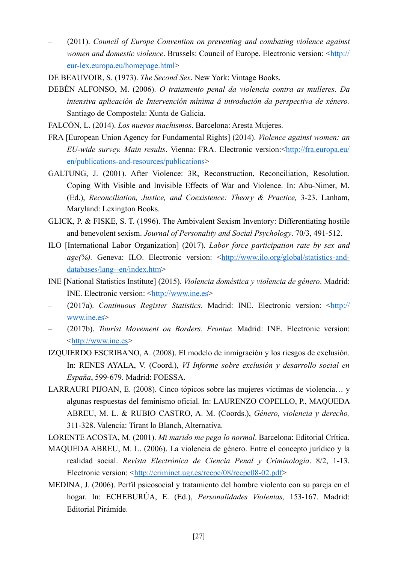- (2011). *Council of Europe Convention on preventing and combating violence against women and domestic violence.* Brussels: Council of Europe. Electronic version: <[http://](http://www.coe.int/en/web/conventions/full-list/-/conventions/rms/090000168008482e) [eur-lex.europa.eu/homepage.html>](http://www.coe.int/en/web/conventions/full-list/-/conventions/rms/090000168008482e)
- DE BEAUVOIR, S. (1973). *The Second Sex*. New York: Vintage Books.
- DEBÉN ALFONSO, M. (2006). *O tratamento penal da violencia contra as mulleres. Da intensiva aplicación de Intervención mínima á introdución da perspectiva de xénero.*  Santiago de Compostela: Xunta de Galicia.
- FALCÓN, L. (2014). *Los nuevos machismos*. Barcelona: Aresta Mujeres.
- FRA [European Union Agency for Fundamental Rights] (2014). *Violence against women: an EU-wide survey. Main results.* Vienna: FRA. Electronic version: <**[http://fra.europa.eu/](http://fra.europa.eu/en/publication/2014/violence-against-women-eu-wide-survey-main-results-report)** [en/publications-and-resources/publications>](http://fra.europa.eu/en/publication/2014/violence-against-women-eu-wide-survey-main-results-report)
- GALTUNG, J. (2001). After Violence: 3R, Reconstruction, Reconciliation, Resolution. Coping With Visible and Invisible Effects of War and Violence. In: Abu-Nimer, M. (Ed.), *Reconciliation, Justice, and Coexistence: Theory & Practice,* 3-23. Lanham, Maryland: Lexington Books.
- GLICK, P. & FISKE, S. T. (1996). The Ambivalent Sexism Inventory: Differentiating hostile and benevolent sexism. *Journal of Personality and Social Psychology*. 70/3, 491-512.
- ILO [International Labor Organization] (2017). *Labor force participation rate by sex and age(%).* Geneva: ILO. Electronic version: <[http://www.ilo.org/global/statistics-and](http://www.ilo.org/global/statistics-and-databases/lang--en/index.htm)[databases/lang--en/index.htm>](http://www.ilo.org/global/statistics-and-databases/lang--en/index.htm)
- INE [National Statistics Institute] (2015). *Violencia doméstica y violencia de género*. Madrid: INE. Electronic version:  $\frac{\text{http://www.ine.es}}{\text{http://www.ine.es}}}$
- (2017a). *Continuous Register Statistics.* Madrid: INE. Electronic version: [<http://](http://www.ine.es/dyngs/INEbase/en/operacion.htm?c=Estadistica_C&cid=1254736177012&menu=resultados&idp=1254734710990) [www.ine.es>](http://www.ine.es/dyngs/INEbase/en/operacion.htm?c=Estadistica_C&cid=1254736177012&menu=resultados&idp=1254734710990)
- (2017b). *Tourist Movement on Borders. Frontur.* Madrid: INE. Electronic version: <[http://www.ine.es>](http://www.ine.es/dyngs/INEbase/es/operacion.htm?c=Estadistica_C&cid=1254736176996&menu=resultados&idp=1254735576863)
- IZQUIERDO ESCRIBANO, A. (2008). El modelo de inmigración y los riesgos de exclusión. In: RENES AYALA, V. (Coord.), *VI Informe sobre exclusión y desarrollo social en España*, 599-679. Madrid: FOESSA.
- LARRAURI PIJOAN, E. (2008). Cinco tópicos sobre las mujeres víctimas de violencia… y algunas respuestas del feminismo oficial. In: LAURENZO COPELLO, P., MAQUEDA ABREU, M. L. & RUBIO CASTRO, A. M. (Coords.), *Género, violencia y derecho,*  311-328. Valencia: Tirant lo Blanch, Alternativa.
- LORENTE ACOSTA, M. (2001). *Mi marido me pega lo normal*. Barcelona: Editorial Crítica.
- MAQUEDA ABREU, M. L. (2006). La violencia de género. Entre el concepto jurídico y la realidad social. *Revista Electrónica de Ciencia Penal y Criminología*. 8/2, 1-13. Electronic version: <[http://criminet.ugr.es/recpc/08/recpc08-02.pdf>](http://criminet.ugr.es/recpc/08/recpc08-02.pdf)
- MEDINA, J. (2006). Perfil psicosocial y tratamiento del hombre violento con su pareja en el hogar. In: ECHEBURÚA, E. (Ed.), *Personalidades Violentas,* 153-167. Madrid: Editorial Pirámide.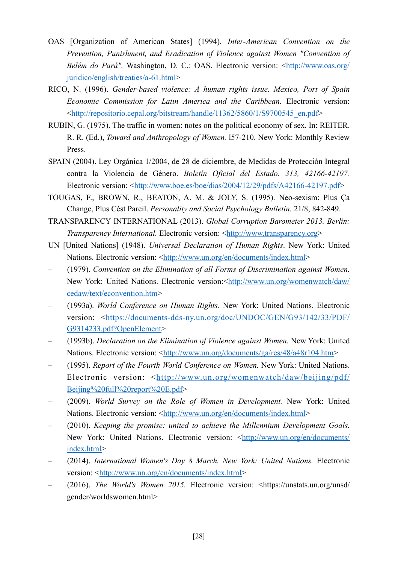- OAS [Organization of American States] (1994). *Inter-American Convention on the Prevention, Punishment, and Eradication of Violence against Women "Convention of Belém do Pará".* Washington, D. C.: OAS. Electronic version: <[http://www.oas.org/](http://www.oas.org/juridico/english/treaties/a-61.html) [juridico/english/treaties/a-61.html>](http://www.oas.org/juridico/english/treaties/a-61.html)
- RICO, N. (1996). *Gender-based violence: A human rights issue. Mexico, Port of Spain Economic Commission for Latin America and the Caribbean.* Electronic version: <[http://repositorio.cepal.org/bitstream/handle/11362/5860/1/S9700545\\_en.pdf>](http://repositorio.cepal.org/bitstream/handle/11362/5860/1/S9700545_en.pdf)
- RUBIN, G. (1975). The traffic in women: notes on the political economy of sex. In: REITER. R. R. (Ed.), *Toward and Anthropology of Women,* l57-210. New York: Monthly Review Press.
- SPAIN (2004). Ley Orgánica 1/2004, de 28 de diciembre, de Medidas de Protección Integral contra la Violencia de Género. *Boletín Oficial del Estado. 313, 42166-42197.*  Electronic version: <[http://www.boe.es/boe/dias/2004/12/29/pdfs/A42166-42197.pdf>](http://www.boe.es/boe/dias/2004/12/29/pdfs/A42166-42197.pdf)
- TOUGAS, F., BROWN, R., BEATON, A. M. & JOLY, S. (1995). Neo-sexism: Plus Ça Change, Plus Cést Pareil. *Personality and Social Psychology Bulletin.* 21/8, 842-849.
- TRANSPARENCY INTERNATIONAL (2013). *Global Corruption Barometer 2013. Berlin: Transparency International.* Electronic version: <[http://www.transparency.org>](http://www.transparency.org)
- UN [United Nations] (1948). *Universal Declaration of Human Rights*. New York: United Nations. Electronic version: [<http://www.un.org/en/documents/index.html>](http://www.un.org/en/documents/index.html)
- (1979). *Convention on the Elimination of all Forms of Discrimination against Women.*  New York: United Nations. Electronic version:[<http://www.un.org/womenwatch/daw/](http://www.un.org/womenwatch/daw/cedaw/text/econvention.htm) [cedaw/text/econvention.htm>](http://www.un.org/womenwatch/daw/cedaw/text/econvention.htm)
- (1993a). *World Conference on Human Rights.* New York: United Nations. Electronic version: <[https://documents-dds-ny.un.org/doc/UNDOC/GEN/G93/142/33/PDF/](https://documents-dds-ny.un.org/doc/UNDOC/GEN/G93/142/33/PDF/G9314233.pdf?OpenElement) [G9314233.pdf?OpenElement>](https://documents-dds-ny.un.org/doc/UNDOC/GEN/G93/142/33/PDF/G9314233.pdf?OpenElement)
- (1993b). *Declaration on the Elimination of Violence against Women.* New York: United Nations. Electronic version: [<http://www.un.org/documents/ga/res/48/a48r104.htm>](http://www.un.org/documents/ga/res/48/a48r104.htm)
- (1995). *Report of the Fourth World Conference on Women.* New York: United Nations. Electronic version: <[http://www.un.org/womenwatch/daw/beijing/pdf/](http://www.un.org/womenwatch/daw/beijing/pdf/Beijing%2520full%2520report%2520E.pdf) [Beijing%20full%20report%20E.pdf>](http://www.un.org/womenwatch/daw/beijing/pdf/Beijing%2520full%2520report%2520E.pdf)
- (2009). *World Survey on the Role of Women in Development.* New York: United Nations. Electronic version: [<http://www.un.org/en/documents/index.html>](http://www.un.org/en/documents/index.html)
- (2010). *Keeping the promise: united to achieve the Millennium Development Goals.*  New York: United Nations. Electronic version: <[http://www.un.org/en/documents/](http://www.un.org/en/documents/index.html) [index.html>](http://www.un.org/en/documents/index.html)
- (2014). *International Women's Day 8 March. New York: United Nations.* Electronic version: <<http://www.un.org/en/documents/index.html>>
- (2016). *The World's Women 2015.* Electronic version: <https://unstats.un.org/unsd/ gender/worldswomen.html>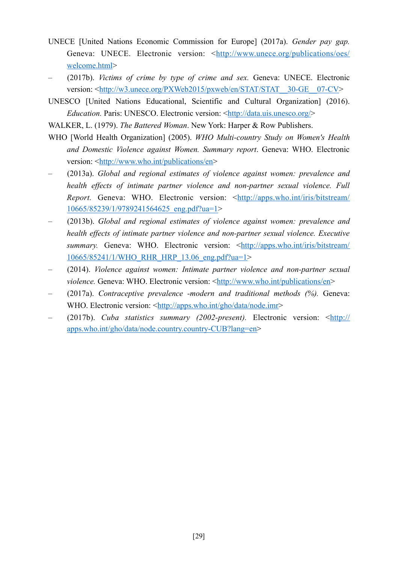- UNECE [United Nations Economic Commission for Europe] (2017a). *Gender pay gap.*  Geneva: UNECE. Electronic version: <[http://www.unece.org/publications/oes/](http://www.unece.org/publications/oes/welcome.html) [welcome.html>](http://www.unece.org/publications/oes/welcome.html)
- (2017b). *Victims of crime by type of crime and sex.* Geneva: UNECE. Electronic version: <http://w3.unece.org/PXWeb2015/pxweb/en/STAT/STAT\_30-GE\_07-CV>
- UNESCO [United Nations Educational, Scientific and Cultural Organization] (2016). *Education.* Paris: UNESCO. Electronic version: <[http://data.uis.unesco.org/>](http://data.uis.unesco.org/)

WALKER, L. (1979). *The Battered Woman*. New York: Harper & Row Publishers.

- WHO [World Health Organization] (2005). *WHO Multi-country Study on Women's Health and Domestic Violence against Women. Summary report*. Geneva: WHO. Electronic version: <[http://www.who.int/publications/en>](http://www.who.int/publications/en)
- (2013a). *Global and regional estimates of violence against women: prevalence and health effects of intimate partner violence and non-partner sexual violence. Full Report.* Geneva: WHO. Electronic version: <[http://apps.who.int/iris/bitstream/](http://apps.who.int/iris/bitstream/10665/85239/1/9789241564625_eng.pdf?ua=1) [10665/85239/1/9789241564625\\_eng.pdf?ua=1>](http://apps.who.int/iris/bitstream/10665/85239/1/9789241564625_eng.pdf?ua=1)
- (2013b). *Global and regional estimates of violence against women: prevalence and health effects of intimate partner violence and non-partner sexual violence. Executive summary.* Geneva: WHO. Electronic version: [<http://apps.who.int/iris/bitstream/](http://apps.who.int/iris/bitstream/10665/85241/1/WHO_RHR_HRP_13.06_eng.pdf?ua=1) [10665/85241/1/WHO\\_RHR\\_HRP\\_13.06\\_eng.pdf?ua=1>](http://apps.who.int/iris/bitstream/10665/85241/1/WHO_RHR_HRP_13.06_eng.pdf?ua=1)
- (2014). *Violence against women: Intimate partner violence and non-partner sexual violence.* Geneva: WHO. Electronic version: [<http://www.who.int/publications/en](http://www.who.int/publications/en)>
- (2017a). *Contraceptive prevalence -modern and traditional methods (%).* Geneva: WHO. Electronic version: <[http://apps.who.int/gho/data/node.imr>](http://apps.who.int/gho/data/node.imr)
- (2017b). *Cuba statistics summary (2002-present).* Electronic version: [<http://](http://apps.who.int/gho/data/node.country.country-CUB?lang=en) [apps.who.int/gho/data/node.country.country-CUB?lang=en>](http://apps.who.int/gho/data/node.country.country-CUB?lang=en)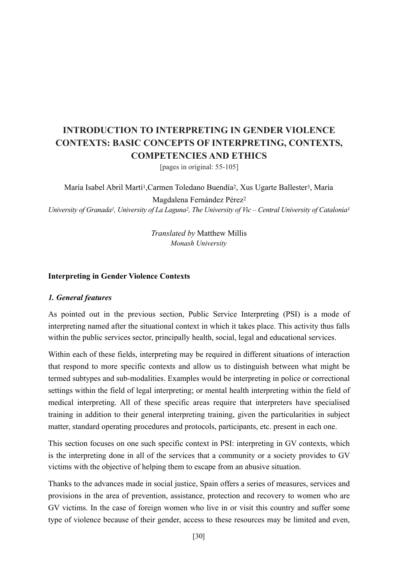# **INTRODUCTION TO INTERPRETING IN GENDER VIOLENCE CONTEXTS: BASIC CONCEPTS OF INTERPRETING, CONTEXTS, COMPETENCIES AND ETHICS**

[pages in original: 55-105]

María Isabel Abril Martí1,Carmen Toledano Buendía2, Xus Ugarte Ballester3, María

Magdalena Fernández Pérez2 *University of Granada1, University of La Laguna2, The University of Vic – Central University of Catalonia3* 

> *Translated by* Matthew Millis *Monash University*

#### **Interpreting in Gender Violence Contexts**

#### *1. General features*

As pointed out in the previous section, Public Service Interpreting (PSI) is a mode of interpreting named after the situational context in which it takes place. This activity thus falls within the public services sector, principally health, social, legal and educational services.

Within each of these fields, interpreting may be required in different situations of interaction that respond to more specific contexts and allow us to distinguish between what might be termed subtypes and sub-modalities. Examples would be interpreting in police or correctional settings within the field of legal interpreting; or mental health interpreting within the field of medical interpreting. All of these specific areas require that interpreters have specialised training in addition to their general interpreting training, given the particularities in subject matter, standard operating procedures and protocols, participants, etc. present in each one.

This section focuses on one such specific context in PSI: interpreting in GV contexts, which is the interpreting done in all of the services that a community or a society provides to GV victims with the objective of helping them to escape from an abusive situation.

Thanks to the advances made in social justice, Spain offers a series of measures, services and provisions in the area of prevention, assistance, protection and recovery to women who are GV victims. In the case of foreign women who live in or visit this country and suffer some type of violence because of their gender, access to these resources may be limited and even,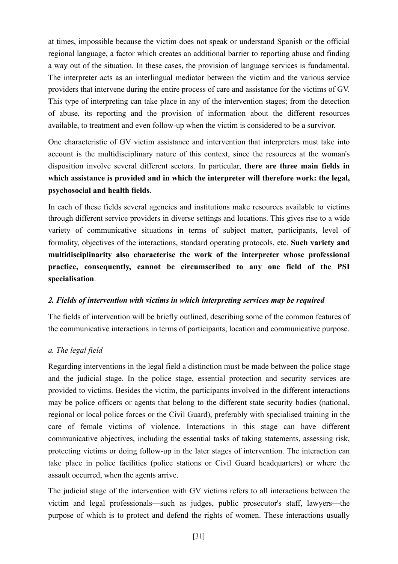at times, impossible because the victim does not speak or understand Spanish or the official regional language, a factor which creates an additional barrier to reporting abuse and finding a way out of the situation. In these cases, the provision of language services is fundamental. The interpreter acts as an interlingual mediator between the victim and the various service providers that intervene during the entire process of care and assistance for the victims of GV. This type of interpreting can take place in any of the intervention stages; from the detection of abuse, its reporting and the provision of information about the different resources available, to treatment and even follow-up when the victim is considered to be a survivor.

One characteristic of GV victim assistance and intervention that interpreters must take into account is the multidisciplinary nature of this context, since the resources at the woman's disposition involve several different sectors. In particular, **there are three main fields in which assistance is provided and in which the interpreter will therefore work: the legal, psychosocial and health fields**.

In each of these fields several agencies and institutions make resources available to victims through different service providers in diverse settings and locations. This gives rise to a wide variety of communicative situations in terms of subject matter, participants, level of formality, objectives of the interactions, standard operating protocols, etc. **Such variety and multidisciplinarity also characterise the work of the interpreter whose professional practice, consequently, cannot be circumscribed to any one field of the PSI specialisation**.

## *2. Fields of intervention with victims in which interpreting services may be required*

The fields of intervention will be briefly outlined, describing some of the common features of the communicative interactions in terms of participants, location and communicative purpose.

# *a. The legal field*

Regarding interventions in the legal field a distinction must be made between the police stage and the judicial stage. In the police stage, essential protection and security services are provided to victims. Besides the victim, the participants involved in the different interactions may be police officers or agents that belong to the different state security bodies (national, regional or local police forces or the Civil Guard), preferably with specialised training in the care of female victims of violence. Interactions in this stage can have different communicative objectives, including the essential tasks of taking statements, assessing risk, protecting victims or doing follow-up in the later stages of intervention. The interaction can take place in police facilities (police stations or Civil Guard headquarters) or where the assault occurred, when the agents arrive.

The judicial stage of the intervention with GV victims refers to all interactions between the victim and legal professionals—such as judges, public prosecutor's staff, lawyers—the purpose of which is to protect and defend the rights of women. These interactions usually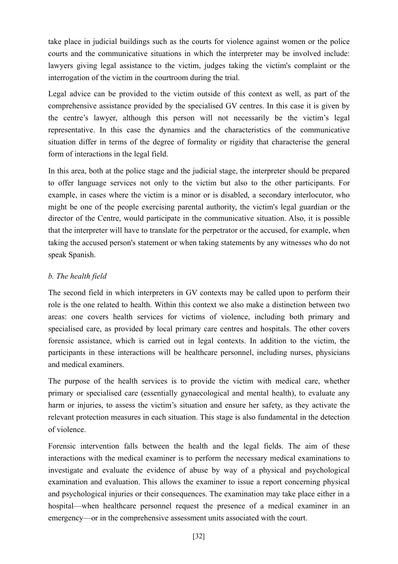take place in judicial buildings such as the courts for violence against women or the police courts and the communicative situations in which the interpreter may be involved include: lawyers giving legal assistance to the victim, judges taking the victim's complaint or the interrogation of the victim in the courtroom during the trial.

Legal advice can be provided to the victim outside of this context as well, as part of the comprehensive assistance provided by the specialised GV centres. In this case it is given by the centre's lawyer, although this person will not necessarily be the victim's legal representative. In this case the dynamics and the characteristics of the communicative situation differ in terms of the degree of formality or rigidity that characterise the general form of interactions in the legal field.

In this area, both at the police stage and the judicial stage, the interpreter should be prepared to offer language services not only to the victim but also to the other participants. For example, in cases where the victim is a minor or is disabled, a secondary interlocutor, who might be one of the people exercising parental authority, the victim's legal guardian or the director of the Centre, would participate in the communicative situation. Also, it is possible that the interpreter will have to translate for the perpetrator or the accused, for example, when taking the accused person's statement or when taking statements by any witnesses who do not speak Spanish.

# *b. The health field*

The second field in which interpreters in GV contexts may be called upon to perform their role is the one related to health. Within this context we also make a distinction between two areas: one covers health services for victims of violence, including both primary and specialised care, as provided by local primary care centres and hospitals. The other covers forensic assistance, which is carried out in legal contexts. In addition to the victim, the participants in these interactions will be healthcare personnel, including nurses, physicians and medical examiners.

The purpose of the health services is to provide the victim with medical care, whether primary or specialised care (essentially gynaecological and mental health), to evaluate any harm or injuries, to assess the victim's situation and ensure her safety, as they activate the relevant protection measures in each situation. This stage is also fundamental in the detection of violence.

Forensic intervention falls between the health and the legal fields. The aim of these interactions with the medical examiner is to perform the necessary medical examinations to investigate and evaluate the evidence of abuse by way of a physical and psychological examination and evaluation. This allows the examiner to issue a report concerning physical and psychological injuries or their consequences. The examination may take place either in a hospital—when healthcare personnel request the presence of a medical examiner in an emergency—or in the comprehensive assessment units associated with the court.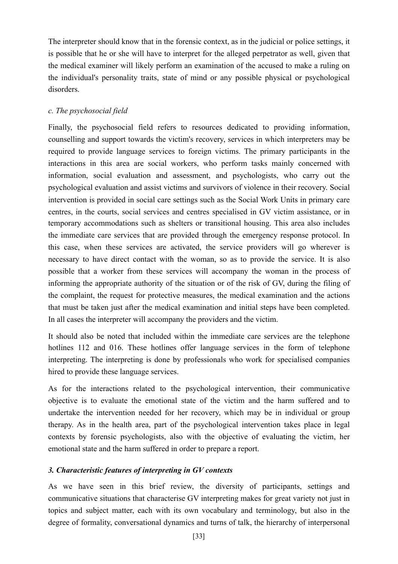The interpreter should know that in the forensic context, as in the judicial or police settings, it is possible that he or she will have to interpret for the alleged perpetrator as well, given that the medical examiner will likely perform an examination of the accused to make a ruling on the individual's personality traits, state of mind or any possible physical or psychological disorders.

## *c. The psychosocial field*

Finally, the psychosocial field refers to resources dedicated to providing information, counselling and support towards the victim's recovery, services in which interpreters may be required to provide language services to foreign victims. The primary participants in the interactions in this area are social workers, who perform tasks mainly concerned with information, social evaluation and assessment, and psychologists, who carry out the psychological evaluation and assist victims and survivors of violence in their recovery. Social intervention is provided in social care settings such as the Social Work Units in primary care centres, in the courts, social services and centres specialised in GV victim assistance, or in temporary accommodations such as shelters or transitional housing. This area also includes the immediate care services that are provided through the emergency response protocol. In this case, when these services are activated, the service providers will go wherever is necessary to have direct contact with the woman, so as to provide the service. It is also possible that a worker from these services will accompany the woman in the process of informing the appropriate authority of the situation or of the risk of GV, during the filing of the complaint, the request for protective measures, the medical examination and the actions that must be taken just after the medical examination and initial steps have been completed. In all cases the interpreter will accompany the providers and the victim.

It should also be noted that included within the immediate care services are the telephone hotlines 112 and 016. These hotlines offer language services in the form of telephone interpreting. The interpreting is done by professionals who work for specialised companies hired to provide these language services.

As for the interactions related to the psychological intervention, their communicative objective is to evaluate the emotional state of the victim and the harm suffered and to undertake the intervention needed for her recovery, which may be in individual or group therapy. As in the health area, part of the psychological intervention takes place in legal contexts by forensic psychologists, also with the objective of evaluating the victim, her emotional state and the harm suffered in order to prepare a report.

## *3. Characteristic features of interpreting in GV contexts*

As we have seen in this brief review, the diversity of participants, settings and communicative situations that characterise GV interpreting makes for great variety not just in topics and subject matter, each with its own vocabulary and terminology, but also in the degree of formality, conversational dynamics and turns of talk, the hierarchy of interpersonal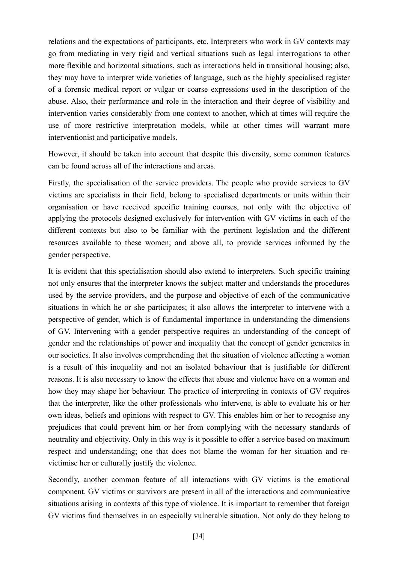relations and the expectations of participants, etc. Interpreters who work in GV contexts may go from mediating in very rigid and vertical situations such as legal interrogations to other more flexible and horizontal situations, such as interactions held in transitional housing; also, they may have to interpret wide varieties of language, such as the highly specialised register of a forensic medical report or vulgar or coarse expressions used in the description of the abuse. Also, their performance and role in the interaction and their degree of visibility and intervention varies considerably from one context to another, which at times will require the use of more restrictive interpretation models, while at other times will warrant more interventionist and participative models.

However, it should be taken into account that despite this diversity, some common features can be found across all of the interactions and areas.

Firstly, the specialisation of the service providers. The people who provide services to GV victims are specialists in their field, belong to specialised departments or units within their organisation or have received specific training courses, not only with the objective of applying the protocols designed exclusively for intervention with GV victims in each of the different contexts but also to be familiar with the pertinent legislation and the different resources available to these women; and above all, to provide services informed by the gender perspective.

It is evident that this specialisation should also extend to interpreters. Such specific training not only ensures that the interpreter knows the subject matter and understands the procedures used by the service providers, and the purpose and objective of each of the communicative situations in which he or she participates; it also allows the interpreter to intervene with a perspective of gender, which is of fundamental importance in understanding the dimensions of GV. Intervening with a gender perspective requires an understanding of the concept of gender and the relationships of power and inequality that the concept of gender generates in our societies. It also involves comprehending that the situation of violence affecting a woman is a result of this inequality and not an isolated behaviour that is justifiable for different reasons. It is also necessary to know the effects that abuse and violence have on a woman and how they may shape her behaviour. The practice of interpreting in contexts of GV requires that the interpreter, like the other professionals who intervene, is able to evaluate his or her own ideas, beliefs and opinions with respect to GV. This enables him or her to recognise any prejudices that could prevent him or her from complying with the necessary standards of neutrality and objectivity. Only in this way is it possible to offer a service based on maximum respect and understanding; one that does not blame the woman for her situation and revictimise her or culturally justify the violence.

Secondly, another common feature of all interactions with GV victims is the emotional component. GV victims or survivors are present in all of the interactions and communicative situations arising in contexts of this type of violence. It is important to remember that foreign GV victims find themselves in an especially vulnerable situation. Not only do they belong to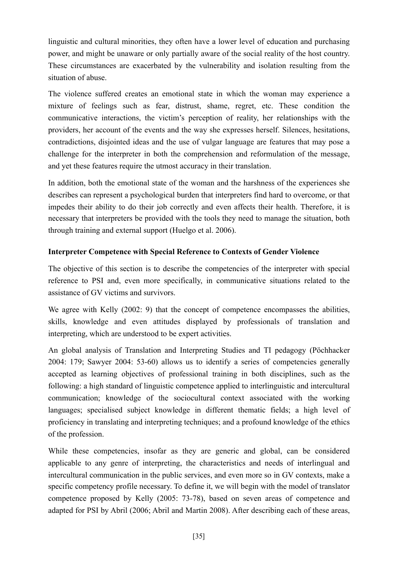linguistic and cultural minorities, they often have a lower level of education and purchasing power, and might be unaware or only partially aware of the social reality of the host country. These circumstances are exacerbated by the vulnerability and isolation resulting from the situation of abuse.

The violence suffered creates an emotional state in which the woman may experience a mixture of feelings such as fear, distrust, shame, regret, etc. These condition the communicative interactions, the victim's perception of reality, her relationships with the providers, her account of the events and the way she expresses herself. Silences, hesitations, contradictions, disjointed ideas and the use of vulgar language are features that may pose a challenge for the interpreter in both the comprehension and reformulation of the message, and yet these features require the utmost accuracy in their translation.

In addition, both the emotional state of the woman and the harshness of the experiences she describes can represent a psychological burden that interpreters find hard to overcome, or that impedes their ability to do their job correctly and even affects their health. Therefore, it is necessary that interpreters be provided with the tools they need to manage the situation, both through training and external support (Huelgo et al. 2006).

# **Interpreter Competence with Special Reference to Contexts of Gender Violence**

The objective of this section is to describe the competencies of the interpreter with special reference to PSI and, even more specifically, in communicative situations related to the assistance of GV victims and survivors.

We agree with Kelly (2002: 9) that the concept of competence encompasses the abilities, skills, knowledge and even attitudes displayed by professionals of translation and interpreting, which are understood to be expert activities.

An global analysis of Translation and Interpreting Studies and TI pedagogy (Pöchhacker 2004: 179; Sawyer 2004: 53-60) allows us to identify a series of competencies generally accepted as learning objectives of professional training in both disciplines, such as the following: a high standard of linguistic competence applied to interlinguistic and intercultural communication; knowledge of the sociocultural context associated with the working languages; specialised subject knowledge in different thematic fields; a high level of proficiency in translating and interpreting techniques; and a profound knowledge of the ethics of the profession.

While these competencies, insofar as they are generic and global, can be considered applicable to any genre of interpreting, the characteristics and needs of interlingual and intercultural communication in the public services, and even more so in GV contexts, make a specific competency profile necessary. To define it, we will begin with the model of translator competence proposed by Kelly (2005: 73-78), based on seven areas of competence and adapted for PSI by Abril (2006; Abril and Martin 2008). After describing each of these areas,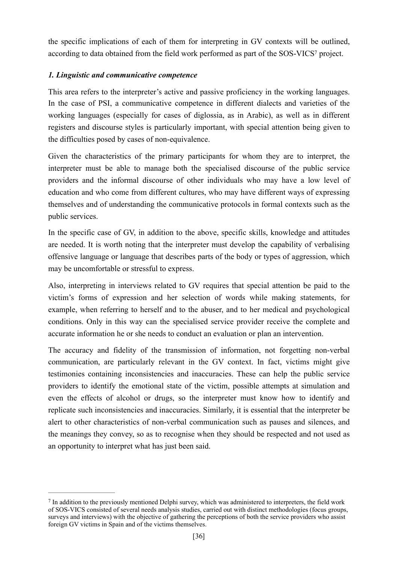<span id="page-35-1"></span>the specific implications of each of them for interpreting in GV contexts will be outlined, according to data obtained from the field work performed as part of the [S](#page-35-0)OS-VICS<sup>7</sup> project.

## *1. Linguistic and communicative competence*

This area refers to the interpreter's active and passive proficiency in the working languages. In the case of PSI, a communicative competence in different dialects and varieties of the working languages (especially for cases of diglossia, as in Arabic), as well as in different registers and discourse styles is particularly important, with special attention being given to the difficulties posed by cases of non-equivalence.

Given the characteristics of the primary participants for whom they are to interpret, the interpreter must be able to manage both the specialised discourse of the public service providers and the informal discourse of other individuals who may have a low level of education and who come from different cultures, who may have different ways of expressing themselves and of understanding the communicative protocols in formal contexts such as the public services.

In the specific case of GV, in addition to the above, specific skills, knowledge and attitudes are needed. It is worth noting that the interpreter must develop the capability of verbalising offensive language or language that describes parts of the body or types of aggression, which may be uncomfortable or stressful to express.

Also, interpreting in interviews related to GV requires that special attention be paid to the victim's forms of expression and her selection of words while making statements, for example, when referring to herself and to the abuser, and to her medical and psychological conditions. Only in this way can the specialised service provider receive the complete and accurate information he or she needs to conduct an evaluation or plan an intervention.

The accuracy and fidelity of the transmission of information, not forgetting non-verbal communication, are particularly relevant in the GV context. In fact, victims might give testimonies containing inconsistencies and inaccuracies. These can help the public service providers to identify the emotional state of the victim, possible attempts at simulation and even the effects of alcohol or drugs, so the interpreter must know how to identify and replicate such inconsistencies and inaccuracies. Similarly, it is essential that the interpreter be alert to other characteristics of non-verbal communication such as pauses and silences, and the meanings they convey, so as to recognise when they should be respected and not used as an opportunity to interpret what has just been said.

<span id="page-35-0"></span><sup>&</sup>lt;sup>7</sup>In addition to the previously mentioned Delphi survey, which was administered to interpreters, the field work of SOS-VICS consisted of several needs analysis studies, carried out with distinct methodologies (focus groups, surveys and interviews) with the objective of gathering the perceptions of both the service providers who assist foreign GV victims in Spain and of the victims themselves.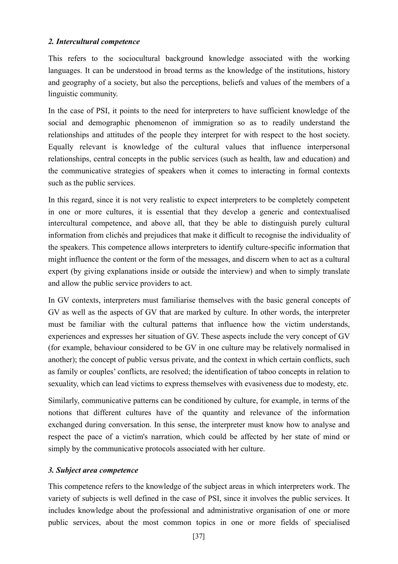#### *2. Intercultural competence*

This refers to the sociocultural background knowledge associated with the working languages. It can be understood in broad terms as the knowledge of the institutions, history and geography of a society, but also the perceptions, beliefs and values of the members of a linguistic community.

In the case of PSI, it points to the need for interpreters to have sufficient knowledge of the social and demographic phenomenon of immigration so as to readily understand the relationships and attitudes of the people they interpret for with respect to the host society. Equally relevant is knowledge of the cultural values that influence interpersonal relationships, central concepts in the public services (such as health, law and education) and the communicative strategies of speakers when it comes to interacting in formal contexts such as the public services.

In this regard, since it is not very realistic to expect interpreters to be completely competent in one or more cultures, it is essential that they develop a generic and contextualised intercultural competence, and above all, that they be able to distinguish purely cultural information from clichés and prejudices that make it difficult to recognise the individuality of the speakers. This competence allows interpreters to identify culture-specific information that might influence the content or the form of the messages, and discern when to act as a cultural expert (by giving explanations inside or outside the interview) and when to simply translate and allow the public service providers to act.

In GV contexts, interpreters must familiarise themselves with the basic general concepts of GV as well as the aspects of GV that are marked by culture. In other words, the interpreter must be familiar with the cultural patterns that influence how the victim understands, experiences and expresses her situation of GV. These aspects include the very concept of GV (for example, behaviour considered to be GV in one culture may be relatively normalised in another); the concept of public versus private, and the context in which certain conflicts, such as family or couples' conflicts, are resolved; the identification of taboo concepts in relation to sexuality, which can lead victims to express themselves with evasiveness due to modesty, etc.

Similarly, communicative patterns can be conditioned by culture, for example, in terms of the notions that different cultures have of the quantity and relevance of the information exchanged during conversation. In this sense, the interpreter must know how to analyse and respect the pace of a victim's narration, which could be affected by her state of mind or simply by the communicative protocols associated with her culture.

## *3. Subject area competence*

This competence refers to the knowledge of the subject areas in which interpreters work. The variety of subjects is well defined in the case of PSI, since it involves the public services. It includes knowledge about the professional and administrative organisation of one or more public services, about the most common topics in one or more fields of specialised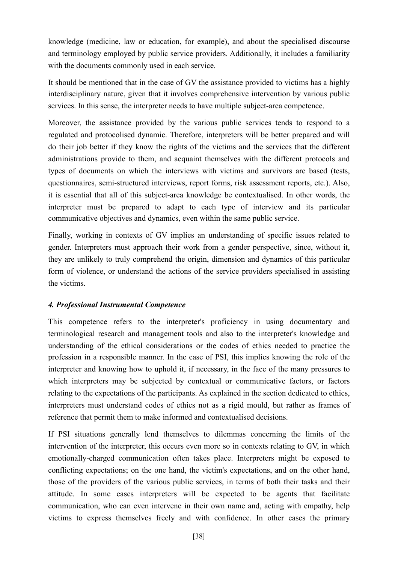knowledge (medicine, law or education, for example), and about the specialised discourse and terminology employed by public service providers. Additionally, it includes a familiarity with the documents commonly used in each service.

It should be mentioned that in the case of GV the assistance provided to victims has a highly interdisciplinary nature, given that it involves comprehensive intervention by various public services. In this sense, the interpreter needs to have multiple subject-area competence.

Moreover, the assistance provided by the various public services tends to respond to a regulated and protocolised dynamic. Therefore, interpreters will be better prepared and will do their job better if they know the rights of the victims and the services that the different administrations provide to them, and acquaint themselves with the different protocols and types of documents on which the interviews with victims and survivors are based (tests, questionnaires, semi-structured interviews, report forms, risk assessment reports, etc.). Also, it is essential that all of this subject-area knowledge be contextualised. In other words, the interpreter must be prepared to adapt to each type of interview and its particular communicative objectives and dynamics, even within the same public service.

Finally, working in contexts of GV implies an understanding of specific issues related to gender. Interpreters must approach their work from a gender perspective, since, without it, they are unlikely to truly comprehend the origin, dimension and dynamics of this particular form of violence, or understand the actions of the service providers specialised in assisting the victims.

# *4. Professional Instrumental Competence*

This competence refers to the interpreter's proficiency in using documentary and terminological research and management tools and also to the interpreter's knowledge and understanding of the ethical considerations or the codes of ethics needed to practice the profession in a responsible manner. In the case of PSI, this implies knowing the role of the interpreter and knowing how to uphold it, if necessary, in the face of the many pressures to which interpreters may be subjected by contextual or communicative factors, or factors relating to the expectations of the participants. As explained in the section dedicated to ethics, interpreters must understand codes of ethics not as a rigid mould, but rather as frames of reference that permit them to make informed and contextualised decisions.

If PSI situations generally lend themselves to dilemmas concerning the limits of the intervention of the interpreter, this occurs even more so in contexts relating to GV, in which emotionally-charged communication often takes place. Interpreters might be exposed to conflicting expectations; on the one hand, the victim's expectations, and on the other hand, those of the providers of the various public services, in terms of both their tasks and their attitude. In some cases interpreters will be expected to be agents that facilitate communication, who can even intervene in their own name and, acting with empathy, help victims to express themselves freely and with confidence. In other cases the primary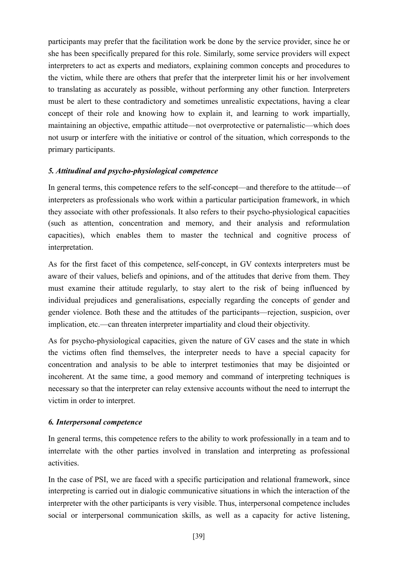participants may prefer that the facilitation work be done by the service provider, since he or she has been specifically prepared for this role. Similarly, some service providers will expect interpreters to act as experts and mediators, explaining common concepts and procedures to the victim, while there are others that prefer that the interpreter limit his or her involvement to translating as accurately as possible, without performing any other function. Interpreters must be alert to these contradictory and sometimes unrealistic expectations, having a clear concept of their role and knowing how to explain it, and learning to work impartially, maintaining an objective, empathic attitude—not overprotective or paternalistic—which does not usurp or interfere with the initiative or control of the situation, which corresponds to the primary participants.

## *5. Attitudinal and psycho-physiological competence*

In general terms, this competence refers to the self-concept—and therefore to the attitude—of interpreters as professionals who work within a particular participation framework, in which they associate with other professionals. It also refers to their psycho-physiological capacities (such as attention, concentration and memory, and their analysis and reformulation capacities), which enables them to master the technical and cognitive process of interpretation.

As for the first facet of this competence, self-concept, in GV contexts interpreters must be aware of their values, beliefs and opinions, and of the attitudes that derive from them. They must examine their attitude regularly, to stay alert to the risk of being influenced by individual prejudices and generalisations, especially regarding the concepts of gender and gender violence. Both these and the attitudes of the participants—rejection, suspicion, over implication, etc.—can threaten interpreter impartiality and cloud their objectivity.

As for psycho-physiological capacities, given the nature of GV cases and the state in which the victims often find themselves, the interpreter needs to have a special capacity for concentration and analysis to be able to interpret testimonies that may be disjointed or incoherent. At the same time, a good memory and command of interpreting techniques is necessary so that the interpreter can relay extensive accounts without the need to interrupt the victim in order to interpret.

# *6. Interpersonal competence*

In general terms, this competence refers to the ability to work professionally in a team and to interrelate with the other parties involved in translation and interpreting as professional activities.

In the case of PSI, we are faced with a specific participation and relational framework, since interpreting is carried out in dialogic communicative situations in which the interaction of the interpreter with the other participants is very visible. Thus, interpersonal competence includes social or interpersonal communication skills, as well as a capacity for active listening,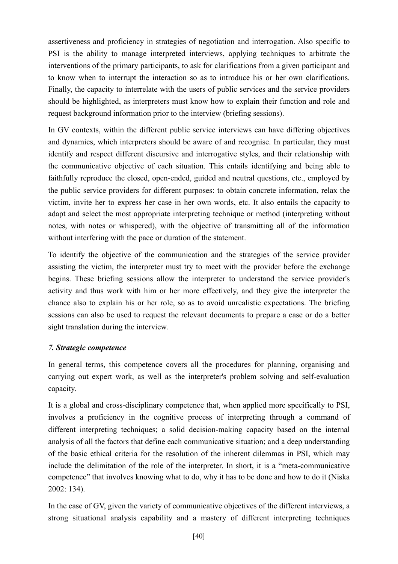assertiveness and proficiency in strategies of negotiation and interrogation. Also specific to PSI is the ability to manage interpreted interviews, applying techniques to arbitrate the interventions of the primary participants, to ask for clarifications from a given participant and to know when to interrupt the interaction so as to introduce his or her own clarifications. Finally, the capacity to interrelate with the users of public services and the service providers should be highlighted, as interpreters must know how to explain their function and role and request background information prior to the interview (briefing sessions).

In GV contexts, within the different public service interviews can have differing objectives and dynamics, which interpreters should be aware of and recognise. In particular, they must identify and respect different discursive and interrogative styles, and their relationship with the communicative objective of each situation. This entails identifying and being able to faithfully reproduce the closed, open-ended, guided and neutral questions, etc., employed by the public service providers for different purposes: to obtain concrete information, relax the victim, invite her to express her case in her own words, etc. It also entails the capacity to adapt and select the most appropriate interpreting technique or method (interpreting without notes, with notes or whispered), with the objective of transmitting all of the information without interfering with the pace or duration of the statement.

To identify the objective of the communication and the strategies of the service provider assisting the victim, the interpreter must try to meet with the provider before the exchange begins. These briefing sessions allow the interpreter to understand the service provider's activity and thus work with him or her more effectively, and they give the interpreter the chance also to explain his or her role, so as to avoid unrealistic expectations. The briefing sessions can also be used to request the relevant documents to prepare a case or do a better sight translation during the interview.

## *7. Strategic competence*

In general terms, this competence covers all the procedures for planning, organising and carrying out expert work, as well as the interpreter's problem solving and self-evaluation capacity.

It is a global and cross-disciplinary competence that, when applied more specifically to PSI, involves a proficiency in the cognitive process of interpreting through a command of different interpreting techniques; a solid decision-making capacity based on the internal analysis of all the factors that define each communicative situation; and a deep understanding of the basic ethical criteria for the resolution of the inherent dilemmas in PSI, which may include the delimitation of the role of the interpreter. In short, it is a "meta-communicative competence" that involves knowing what to do, why it has to be done and how to do it (Niska 2002: 134).

In the case of GV, given the variety of communicative objectives of the different interviews, a strong situational analysis capability and a mastery of different interpreting techniques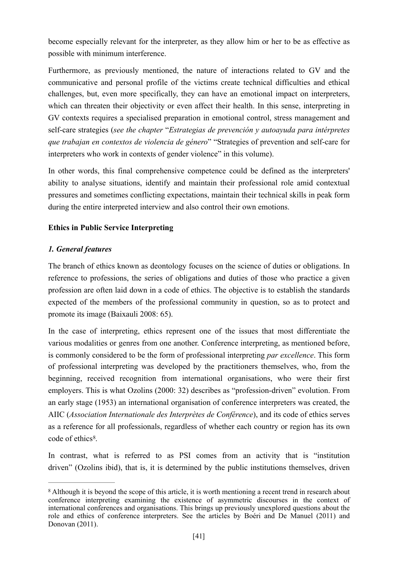become especially relevant for the interpreter, as they allow him or her to be as effective as possible with minimum interference.

Furthermore, as previously mentioned, the nature of interactions related to GV and the communicative and personal profile of the victims create technical difficulties and ethical challenges, but, even more specifically, they can have an emotional impact on interpreters, which can threaten their objectivity or even affect their health. In this sense, interpreting in GV contexts requires a specialised preparation in emotional control, stress management and self-care strategies (*see the chapter* "*Estrategias de prevención y autoayuda para intérpretes que trabajan en contextos de violencia de género*" "Strategies of prevention and self-care for interpreters who work in contexts of gender violence" in this volume).

In other words, this final comprehensive competence could be defined as the interpreters' ability to analyse situations, identify and maintain their professional role amid contextual pressures and sometimes conflicting expectations, maintain their technical skills in peak form during the entire interpreted interview and also control their own emotions.

## **Ethics in Public Service Interpreting**

## *1. General features*

The branch of ethics known as deontology focuses on the science of duties or obligations. In reference to professions, the series of obligations and duties of those who practice a given profession are often laid down in a code of ethics. The objective is to establish the standards expected of the members of the professional community in question, so as to protect and promote its image (Baixauli 2008: 65).

In the case of interpreting, ethics represent one of the issues that most differentiate the various modalities or genres from one another. Conference interpreting, as mentioned before, is commonly considered to be the form of professional interpreting *par excellence*. This form of professional interpreting was developed by the practitioners themselves, who, from the beginning, received recognition from international organisations, who were their first employers. This is what Ozolins (2000: 32) describes as "profession-driven" evolution. From an early stage (1953) an international organisation of conference interpreters was created, the AIIC (*Association Internationale des Interprètes de Conférence*), and its code of ethics serves as a reference for all professionals, regardless of whether each country or region has its own  $code$  of ethics<sup>8</sup>

<span id="page-40-1"></span>In contrast, what is referred to as PSI comes from an activity that is "institution driven" (Ozolins ibid), that is, it is determined by the public institutions themselves, driven

<span id="page-40-0"></span><sup>&</sup>lt;sup>8</sup>Although it is beyond the scope of this article, it is worth mentioning a recent trend in research about conference interpreting examining the existence of asymmetric discourses in the context of international conferences and organisations. This brings up previously unexplored questions about the role and ethics of conference interpreters. See the articles by Boéri and De Manuel (2011) and Donovan (2011).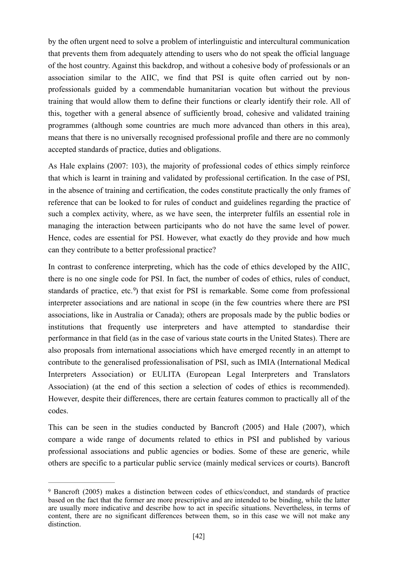by the often urgent need to solve a problem of interlinguistic and intercultural communication that prevents them from adequately attending to users who do not speak the official language of the host country. Against this backdrop, and without a cohesive body of professionals or an association similar to the AIIC, we find that PSI is quite often carried out by nonprofessionals guided by a commendable humanitarian vocation but without the previous training that would allow them to define their functions or clearly identify their role. All of this, together with a general absence of sufficiently broad, cohesive and validated training programmes (although some countries are much more advanced than others in this area), means that there is no universally recognised professional profile and there are no commonly accepted standards of practice, duties and obligations.

As Hale explains (2007: 103), the majority of professional codes of ethics simply reinforce that which is learnt in training and validated by professional certification. In the case of PSI, in the absence of training and certification, the codes constitute practically the only frames of reference that can be looked to for rules of conduct and guidelines regarding the practice of such a complex activity, where, as we have seen, the interpreter fulfils an essential role in managing the interaction between participants who do not have the same level of power. Hence, codes are essential for PSI. However, what exactly do they provide and how much can they contribute to a better professional practice?

<span id="page-41-1"></span>In contrast to conference interpreting, which has the code of ethics developed by the AIIC, there is no one single code for PSI. In fact, the number of codes of ethics, rules of conduct, standards of practice, etc.<sup>9</sup>[\)](#page-41-0) that exist for PSI is remarkable. Some come from professional interpreter associations and are national in scope (in the few countries where there are PSI associations, like in Australia or Canada); others are proposals made by the public bodies or institutions that frequently use interpreters and have attempted to standardise their performance in that field (as in the case of various state courts in the United States). There are also proposals from international associations which have emerged recently in an attempt to contribute to the generalised professionalisation of PSI, such as IMIA (International Medical Interpreters Association) or EULITA (European Legal Interpreters and Translators Association) (at the end of this section a selection of codes of ethics is recommended). However, despite their differences, there are certain features common to practically all of the codes.

This can be seen in the studies conducted by Bancroft (2005) and Hale (2007), which compare a wide range of documents related to ethics in PSI and published by various professional associations and public agencies or bodies. Some of these are generic, while others are specific to a particular public service (mainly medical services or courts). Bancroft

<span id="page-41-0"></span><sup>&</sup>lt;sup>9</sup>Bancroft (2005) makes a distinction between codes of ethics/conduct, and standards of practice based on the fact that the former are more prescriptive and are intended to be binding, while the latter are usually more indicative and describe how to act in specific situations. Nevertheless, in terms of content, there are no significant differences between them, so in this case we will not make any distinction.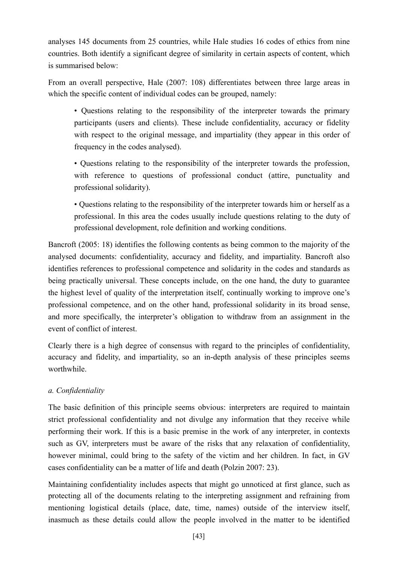analyses 145 documents from 25 countries, while Hale studies 16 codes of ethics from nine countries. Both identify a significant degree of similarity in certain aspects of content, which is summarised below:

From an overall perspective, Hale (2007: 108) differentiates between three large areas in which the specific content of individual codes can be grouped, namely:

• Questions relating to the responsibility of the interpreter towards the primary participants (users and clients). These include confidentiality, accuracy or fidelity with respect to the original message, and impartiality (they appear in this order of frequency in the codes analysed).

• Questions relating to the responsibility of the interpreter towards the profession, with reference to questions of professional conduct (attire, punctuality and professional solidarity).

• Questions relating to the responsibility of the interpreter towards him or herself as a professional. In this area the codes usually include questions relating to the duty of professional development, role definition and working conditions.

Bancroft (2005: 18) identifies the following contents as being common to the majority of the analysed documents: confidentiality, accuracy and fidelity, and impartiality. Bancroft also identifies references to professional competence and solidarity in the codes and standards as being practically universal. These concepts include, on the one hand, the duty to guarantee the highest level of quality of the interpretation itself, continually working to improve one's professional competence, and on the other hand, professional solidarity in its broad sense, and more specifically, the interpreter's obligation to withdraw from an assignment in the event of conflict of interest.

Clearly there is a high degree of consensus with regard to the principles of confidentiality, accuracy and fidelity, and impartiality, so an in-depth analysis of these principles seems worthwhile.

# *a. Confidentiality*

The basic definition of this principle seems obvious: interpreters are required to maintain strict professional confidentiality and not divulge any information that they receive while performing their work. If this is a basic premise in the work of any interpreter, in contexts such as GV, interpreters must be aware of the risks that any relaxation of confidentiality, however minimal, could bring to the safety of the victim and her children. In fact, in GV cases confidentiality can be a matter of life and death (Polzin 2007: 23).

Maintaining confidentiality includes aspects that might go unnoticed at first glance, such as protecting all of the documents relating to the interpreting assignment and refraining from mentioning logistical details (place, date, time, names) outside of the interview itself, inasmuch as these details could allow the people involved in the matter to be identified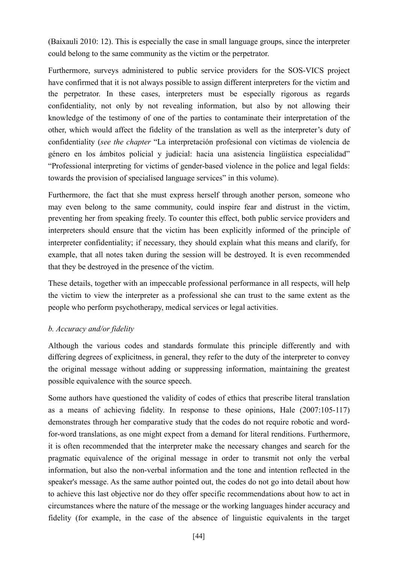(Baixauli 2010: 12). This is especially the case in small language groups, since the interpreter could belong to the same community as the victim or the perpetrator.

Furthermore, surveys administered to public service providers for the SOS-VICS project have confirmed that it is not always possible to assign different interpreters for the victim and the perpetrator. In these cases, interpreters must be especially rigorous as regards confidentiality, not only by not revealing information, but also by not allowing their knowledge of the testimony of one of the parties to contaminate their interpretation of the other, which would affect the fidelity of the translation as well as the interpreter's duty of confidentiality (*see the chapter* "La interpretación profesional con víctimas de violencia de género en los ámbitos policial y judicial: hacia una asistencia lingüística especialidad" "Professional interpreting for victims of gender-based violence in the police and legal fields: towards the provision of specialised language services" in this volume).

Furthermore, the fact that she must express herself through another person, someone who may even belong to the same community, could inspire fear and distrust in the victim, preventing her from speaking freely. To counter this effect, both public service providers and interpreters should ensure that the victim has been explicitly informed of the principle of interpreter confidentiality; if necessary, they should explain what this means and clarify, for example, that all notes taken during the session will be destroyed. It is even recommended that they be destroyed in the presence of the victim.

These details, together with an impeccable professional performance in all respects, will help the victim to view the interpreter as a professional she can trust to the same extent as the people who perform psychotherapy, medical services or legal activities.

## *b. Accuracy and/or fidelity*

Although the various codes and standards formulate this principle differently and with differing degrees of explicitness, in general, they refer to the duty of the interpreter to convey the original message without adding or suppressing information, maintaining the greatest possible equivalence with the source speech.

Some authors have questioned the validity of codes of ethics that prescribe literal translation as a means of achieving fidelity. In response to these opinions, Hale (2007:105-117) demonstrates through her comparative study that the codes do not require robotic and wordfor-word translations, as one might expect from a demand for literal renditions. Furthermore, it is often recommended that the interpreter make the necessary changes and search for the pragmatic equivalence of the original message in order to transmit not only the verbal information, but also the non-verbal information and the tone and intention reflected in the speaker's message. As the same author pointed out, the codes do not go into detail about how to achieve this last objective nor do they offer specific recommendations about how to act in circumstances where the nature of the message or the working languages hinder accuracy and fidelity (for example, in the case of the absence of linguistic equivalents in the target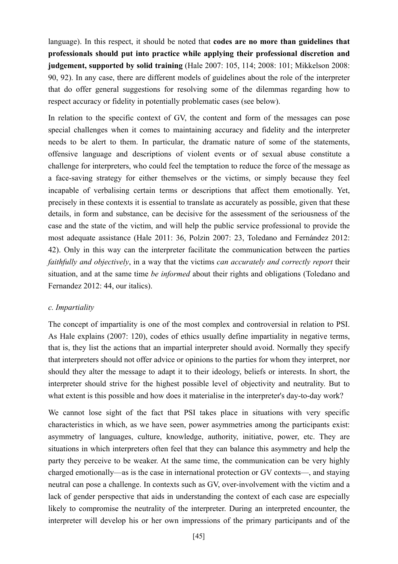language). In this respect, it should be noted that **codes are no more than guidelines that professionals should put into practice while applying their professional discretion and judgement, supported by solid training** (Hale 2007: 105, 114; 2008: 101; Mikkelson 2008: 90, 92). In any case, there are different models of guidelines about the role of the interpreter that do offer general suggestions for resolving some of the dilemmas regarding how to respect accuracy or fidelity in potentially problematic cases (see below).

In relation to the specific context of GV, the content and form of the messages can pose special challenges when it comes to maintaining accuracy and fidelity and the interpreter needs to be alert to them. In particular, the dramatic nature of some of the statements, offensive language and descriptions of violent events or of sexual abuse constitute a challenge for interpreters, who could feel the temptation to reduce the force of the message as a face-saving strategy for either themselves or the victims, or simply because they feel incapable of verbalising certain terms or descriptions that affect them emotionally. Yet, precisely in these contexts it is essential to translate as accurately as possible, given that these details, in form and substance, can be decisive for the assessment of the seriousness of the case and the state of the victim, and will help the public service professional to provide the most adequate assistance (Hale 2011: 36, Polzin 2007: 23, Toledano and Fernández 2012: 42). Only in this way can the interpreter facilitate the communication between the parties *faithfully and objectively*, in a way that the victims *can accurately and correctly report* their situation, and at the same time *be informed* about their rights and obligations (Toledano and Fernandez 2012: 44, our italics).

## *c. Impartiality*

The concept of impartiality is one of the most complex and controversial in relation to PSI. As Hale explains (2007: 120), codes of ethics usually define impartiality in negative terms, that is, they list the actions that an impartial interpreter should avoid. Normally they specify that interpreters should not offer advice or opinions to the parties for whom they interpret, nor should they alter the message to adapt it to their ideology, beliefs or interests. In short, the interpreter should strive for the highest possible level of objectivity and neutrality. But to what extent is this possible and how does it materialise in the interpreter's day-to-day work?

We cannot lose sight of the fact that PSI takes place in situations with very specific characteristics in which, as we have seen, power asymmetries among the participants exist: asymmetry of languages, culture, knowledge, authority, initiative, power, etc. They are situations in which interpreters often feel that they can balance this asymmetry and help the party they perceive to be weaker. At the same time, the communication can be very highly charged emotionally—as is the case in international protection or GV contexts—, and staying neutral can pose a challenge. In contexts such as GV, over-involvement with the victim and a lack of gender perspective that aids in understanding the context of each case are especially likely to compromise the neutrality of the interpreter. During an interpreted encounter, the interpreter will develop his or her own impressions of the primary participants and of the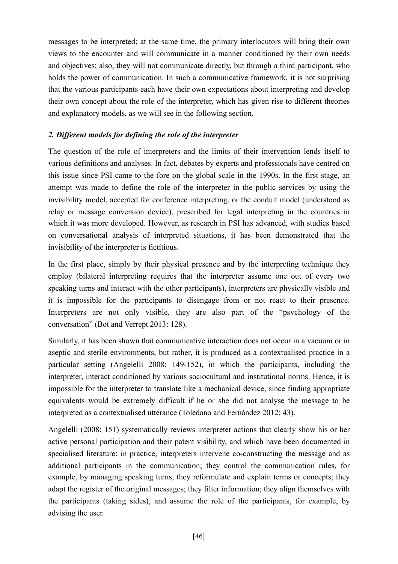messages to be interpreted; at the same time, the primary interlocutors will bring their own views to the encounter and will communicate in a manner conditioned by their own needs and objectives; also, they will not communicate directly, but through a third participant, who holds the power of communication. In such a communicative framework, it is not surprising that the various participants each have their own expectations about interpreting and develop their own concept about the role of the interpreter, which has given rise to different theories and explanatory models, as we will see in the following section.

## *2. Different models for defining the role of the interpreter*

The question of the role of interpreters and the limits of their intervention lends itself to various definitions and analyses. In fact, debates by experts and professionals have centred on this issue since PSI came to the fore on the global scale in the 1990s. In the first stage, an attempt was made to define the role of the interpreter in the public services by using the invisibility model, accepted for conference interpreting, or the conduit model (understood as relay or message conversion device), prescribed for legal interpreting in the countries in which it was more developed. However, as research in PSI has advanced, with studies based on conversational analysis of interpreted situations, it has been demonstrated that the invisibility of the interpreter is fictitious.

In the first place, simply by their physical presence and by the interpreting technique they employ (bilateral interpreting requires that the interpreter assume one out of every two speaking turns and interact with the other participants), interpreters are physically visible and it is impossible for the participants to disengage from or not react to their presence. Interpreters are not only visible, they are also part of the "psychology of the conversation" (Bot and Verrept 2013: 128).

Similarly, it has been shown that communicative interaction does not occur in a vacuum or in aseptic and sterile environments, but rather, it is produced as a contextualised practice in a particular setting (Angelelli 2008: 149-152), in which the participants, including the interpreter, interact conditioned by various sociocultural and institutional norms. Hence, it is impossible for the interpreter to translate like a mechanical device, since finding appropriate equivalents would be extremely difficult if he or she did not analyse the message to be interpreted as a contextualised utterance (Toledano and Fernández 2012: 43).

Angelelli (2008: 151) systematically reviews interpreter actions that clearly show his or her active personal participation and their patent visibility, and which have been documented in specialised literature: in practice, interpreters intervene co-constructing the message and as additional participants in the communication; they control the communication rules, for example, by managing speaking turns; they reformulate and explain terms or concepts; they adapt the register of the original messages; they filter information; they align themselves with the participants (taking sides), and assume the role of the participants, for example, by advising the user.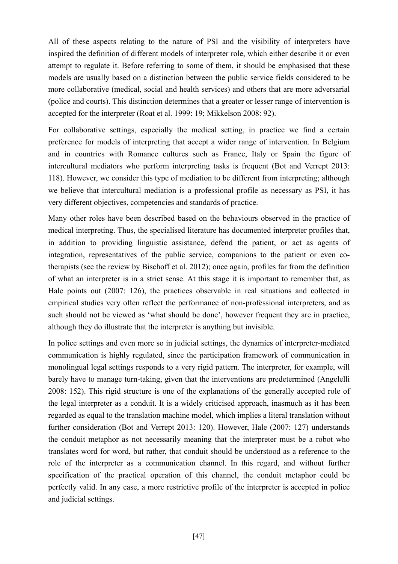All of these aspects relating to the nature of PSI and the visibility of interpreters have inspired the definition of different models of interpreter role, which either describe it or even attempt to regulate it. Before referring to some of them, it should be emphasised that these models are usually based on a distinction between the public service fields considered to be more collaborative (medical, social and health services) and others that are more adversarial (police and courts). This distinction determines that a greater or lesser range of intervention is accepted for the interpreter (Roat et al. 1999: 19; Mikkelson 2008: 92).

For collaborative settings, especially the medical setting, in practice we find a certain preference for models of interpreting that accept a wider range of intervention. In Belgium and in countries with Romance cultures such as France, Italy or Spain the figure of intercultural mediators who perform interpreting tasks is frequent (Bot and Verrept 2013: 118). However, we consider this type of mediation to be different from interpreting; although we believe that intercultural mediation is a professional profile as necessary as PSI, it has very different objectives, competencies and standards of practice.

Many other roles have been described based on the behaviours observed in the practice of medical interpreting. Thus, the specialised literature has documented interpreter profiles that, in addition to providing linguistic assistance, defend the patient, or act as agents of integration, representatives of the public service, companions to the patient or even cotherapists (see the review by Bischoff et al. 2012); once again, profiles far from the definition of what an interpreter is in a strict sense. At this stage it is important to remember that, as Hale points out (2007: 126), the practices observable in real situations and collected in empirical studies very often reflect the performance of non-professional interpreters, and as such should not be viewed as 'what should be done', however frequent they are in practice, although they do illustrate that the interpreter is anything but invisible.

In police settings and even more so in judicial settings, the dynamics of interpreter-mediated communication is highly regulated, since the participation framework of communication in monolingual legal settings responds to a very rigid pattern. The interpreter, for example, will barely have to manage turn-taking, given that the interventions are predetermined (Angelelli 2008: 152). This rigid structure is one of the explanations of the generally accepted role of the legal interpreter as a conduit. It is a widely criticised approach, inasmuch as it has been regarded as equal to the translation machine model, which implies a literal translation without further consideration (Bot and Verrept 2013: 120). However, Hale (2007: 127) understands the conduit metaphor as not necessarily meaning that the interpreter must be a robot who translates word for word, but rather, that conduit should be understood as a reference to the role of the interpreter as a communication channel. In this regard, and without further specification of the practical operation of this channel, the conduit metaphor could be perfectly valid. In any case, a more restrictive profile of the interpreter is accepted in police and judicial settings.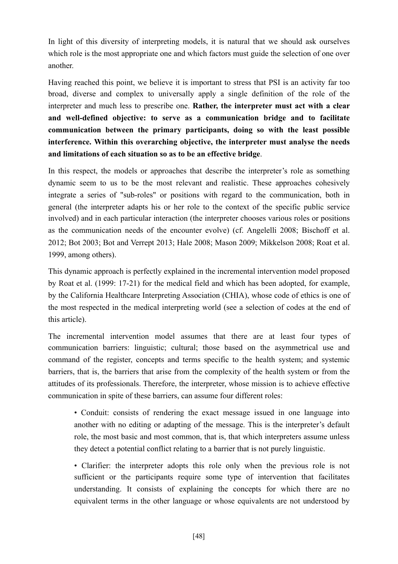In light of this diversity of interpreting models, it is natural that we should ask ourselves which role is the most appropriate one and which factors must guide the selection of one over another.

Having reached this point, we believe it is important to stress that PSI is an activity far too broad, diverse and complex to universally apply a single definition of the role of the interpreter and much less to prescribe one. **Rather, the interpreter must act with a clear and well-defined objective: to serve as a communication bridge and to facilitate communication between the primary participants, doing so with the least possible interference. Within this overarching objective, the interpreter must analyse the needs and limitations of each situation so as to be an effective bridge**.

In this respect, the models or approaches that describe the interpreter's role as something dynamic seem to us to be the most relevant and realistic. These approaches cohesively integrate a series of "sub-roles" or positions with regard to the communication, both in general (the interpreter adapts his or her role to the context of the specific public service involved) and in each particular interaction (the interpreter chooses various roles or positions as the communication needs of the encounter evolve) (cf. Angelelli 2008; Bischoff et al. 2012; Bot 2003; Bot and Verrept 2013; Hale 2008; Mason 2009; Mikkelson 2008; Roat et al. 1999, among others).

This dynamic approach is perfectly explained in the incremental intervention model proposed by Roat et al. (1999: 17-21) for the medical field and which has been adopted, for example, by the California Healthcare Interpreting Association (CHIA), whose code of ethics is one of the most respected in the medical interpreting world (see a selection of codes at the end of this article).

The incremental intervention model assumes that there are at least four types of communication barriers: linguistic; cultural; those based on the asymmetrical use and command of the register, concepts and terms specific to the health system; and systemic barriers, that is, the barriers that arise from the complexity of the health system or from the attitudes of its professionals. Therefore, the interpreter, whose mission is to achieve effective communication in spite of these barriers, can assume four different roles:

• Conduit: consists of rendering the exact message issued in one language into another with no editing or adapting of the message. This is the interpreter's default role, the most basic and most common, that is, that which interpreters assume unless they detect a potential conflict relating to a barrier that is not purely linguistic.

• Clarifier: the interpreter adopts this role only when the previous role is not sufficient or the participants require some type of intervention that facilitates understanding. It consists of explaining the concepts for which there are no equivalent terms in the other language or whose equivalents are not understood by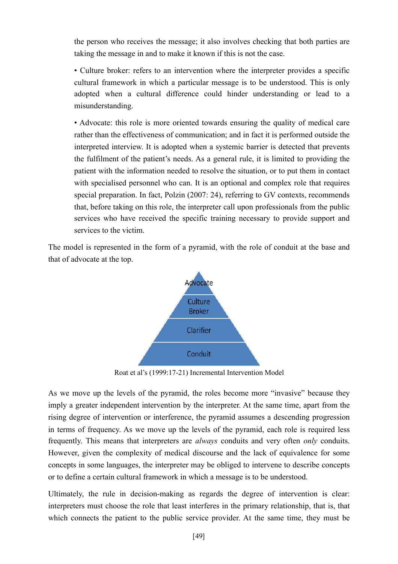the person who receives the message; it also involves checking that both parties are taking the message in and to make it known if this is not the case.

• Culture broker: refers to an intervention where the interpreter provides a specific cultural framework in which a particular message is to be understood. This is only adopted when a cultural difference could hinder understanding or lead to a misunderstanding.

• Advocate: this role is more oriented towards ensuring the quality of medical care rather than the effectiveness of communication; and in fact it is performed outside the interpreted interview. It is adopted when a systemic barrier is detected that prevents the fulfilment of the patient's needs. As a general rule, it is limited to providing the patient with the information needed to resolve the situation, or to put them in contact with specialised personnel who can. It is an optional and complex role that requires special preparation. In fact, Polzin (2007: 24), referring to GV contexts, recommends that, before taking on this role, the interpreter call upon professionals from the public services who have received the specific training necessary to provide support and services to the victim.

The model is represented in the form of a pyramid, with the role of conduit at the base and that of advocate at the top.



Roat et al's (1999:17-21) Incremental Intervention Model

As we move up the levels of the pyramid, the roles become more "invasive" because they imply a greater independent intervention by the interpreter. At the same time, apart from the rising degree of intervention or interference, the pyramid assumes a descending progression in terms of frequency. As we move up the levels of the pyramid, each role is required less frequently. This means that interpreters are *always* conduits and very often *only* conduits. However, given the complexity of medical discourse and the lack of equivalence for some concepts in some languages, the interpreter may be obliged to intervene to describe concepts or to define a certain cultural framework in which a message is to be understood.

Ultimately, the rule in decision-making as regards the degree of intervention is clear: interpreters must choose the role that least interferes in the primary relationship, that is, that which connects the patient to the public service provider. At the same time, they must be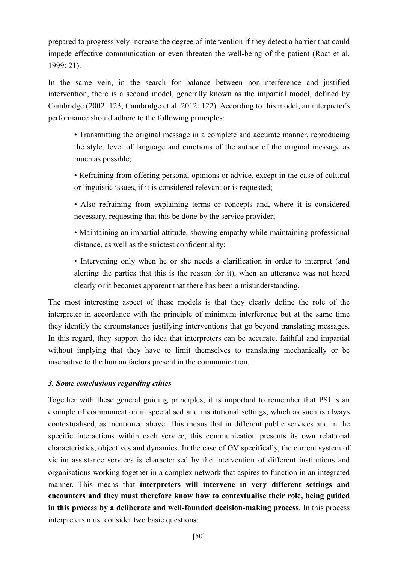prepared to progressively increase the degree of intervention if they detect a barrier that could impede effective communication or even threaten the well-being of the patient (Roat et al. 1999: 21).

In the same vein, in the search for balance between non-interference and justified intervention, there is a second model, generally known as the impartial model, defined by Cambridge (2002: 123; Cambridge et al. 2012: 122). According to this model, an interpreter's performance should adhere to the following principles:

• Transmitting the original message in a complete and accurate manner, reproducing the style, level of language and emotions of the author of the original message as much as possible;

- Refraining from offering personal opinions or advice, except in the case of cultural or linguistic issues, if it is considered relevant or is requested;
- Also refraining from explaining terms or concepts and, where it is considered necessary, requesting that this be done by the service provider;
- Maintaining an impartial attitude, showing empathy while maintaining professional distance, as well as the strictest confidentiality;

• Intervening only when he or she needs a clarification in order to interpret (and alerting the parties that this is the reason for it), when an utterance was not heard clearly or it becomes apparent that there has been a misunderstanding.

The most interesting aspect of these models is that they clearly define the role of the interpreter in accordance with the principle of minimum interference but at the same time they identify the circumstances justifying interventions that go beyond translating messages. In this regard, they support the idea that interpreters can be accurate, faithful and impartial without implying that they have to limit themselves to translating mechanically or be insensitive to the human factors present in the communication.

# *3. Some conclusions regarding ethics*

Together with these general guiding principles, it is important to remember that PSI is an example of communication in specialised and institutional settings, which as such is always contextualised, as mentioned above. This means that in different public services and in the specific interactions within each service, this communication presents its own relational characteristics, objectives and dynamics. In the case of GV specifically, the current system of victim assistance services is characterised by the intervention of different institutions and organisations working together in a complex network that aspires to function in an integrated manner. This means that **interpreters will intervene in very different settings and encounters and they must therefore know how to contextualise their role, being guided in this process by a deliberate and well-founded decision-making process**. In this process interpreters must consider two basic questions: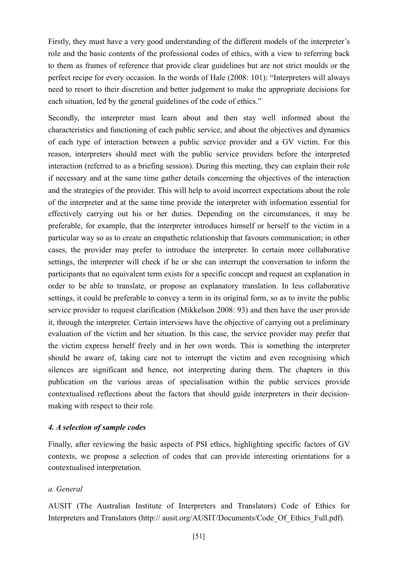Firstly, they must have a very good understanding of the different models of the interpreter's role and the basic contents of the professional codes of ethics, with a view to referring back to them as frames of reference that provide clear guidelines but are not strict moulds or the perfect recipe for every occasion. In the words of Hale (2008: 101): "Interpreters will always need to resort to their discretion and better judgement to make the appropriate decisions for each situation, led by the general guidelines of the code of ethics."

Secondly, the interpreter must learn about and then stay well informed about the characteristics and functioning of each public service, and about the objectives and dynamics of each type of interaction between a public service provider and a GV victim. For this reason, interpreters should meet with the public service providers before the interpreted interaction (referred to as a briefing session). During this meeting, they can explain their role if necessary and at the same time gather details concerning the objectives of the interaction and the strategies of the provider. This will help to avoid incorrect expectations about the role of the interpreter and at the same time provide the interpreter with information essential for effectively carrying out his or her duties. Depending on the circumstances, it may be preferable, for example, that the interpreter introduces himself or herself to the victim in a particular way so as to create an empathetic relationship that favours communication; in other cases, the provider may prefer to introduce the interpreter. In certain more collaborative settings, the interpreter will check if he or she can interrupt the conversation to inform the participants that no equivalent term exists for a specific concept and request an explanation in order to be able to translate, or propose an explanatory translation. In less collaborative settings, it could be preferable to convey a term in its original form, so as to invite the public service provider to request clarification (Mikkelson 2008: 93) and then have the user provide it, through the interpreter. Certain interviews have the objective of carrying out a preliminary evaluation of the victim and her situation. In this case, the service provider may prefer that the victim express herself freely and in her own words. This is something the interpreter should be aware of, taking care not to interrupt the victim and even recognising which silences are significant and hence, not interpreting during them. The chapters in this publication on the various areas of specialisation within the public services provide contextualised reflections about the factors that should guide interpreters in their decisionmaking with respect to their role.

#### *4. A selection of sample codes*

Finally, after reviewing the basic aspects of PSI ethics, highlighting specific factors of GV contexts, we propose a selection of codes that can provide interesting orientations for a contextualised interpretation.

## *a. General*

AUSIT (The Australian Institute of Interpreters and Translators) Code of Ethics for Interpreters and Translators (http:// ausit.org/AUSIT/Documents/Code Of Ethics Full.pdf).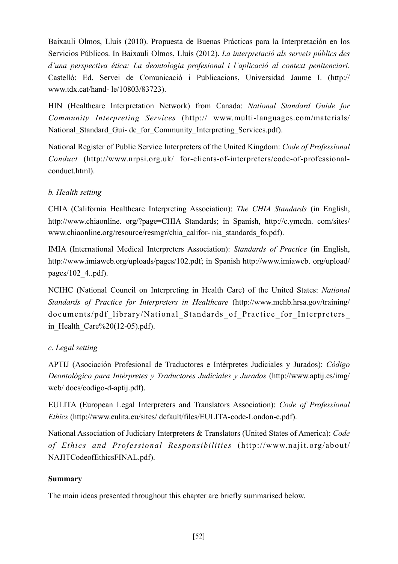Baixauli Olmos, Lluís (2010). Propuesta de Buenas Prácticas para la Interpretación en los Servicios Públicos. In Baixauli Olmos, Lluís (2012). *La interpretació als serveis públics des d'una perspectiva ética: La deontologia profesional i l'aplicació al context penitenciari*. Castelló: Ed. Servei de Comunicació i Publicacions, Universidad Jaume I. (http:// www.tdx.cat/hand- le/10803/83723).

HIN (Healthcare Interpretation Network) from Canada: *National Standard Guide for Community Interpreting Services* (http:// www.multi-languages.com/materials/ National Standard Gui- de for Community Interpreting Services.pdf).

National Register of Public Service Interpreters of the United Kingdom: *Code of Professional Conduct* (http://www.nrpsi.org.uk/ for-clients-of-interpreters/code-of-professionalconduct.html).

# *b. Health setting*

CHIA (California Healthcare Interpreting Association): *The CHIA Standards* (in English, http://www.chiaonline. org/?page=CHIA Standards; in Spanish, http://c.ymcdn. com/sites/ www.chiaonline.org/resource/resmgr/chia\_califor- nia\_standards\_fo.pdf).

IMIA (International Medical Interpreters Association): *Standards of Practice* (in English, http://www.imiaweb.org/uploads/pages/102.pdf; in Spanish http://www.imiaweb. org/upload/ pages/102\_4..pdf).

NCIHC (National Council on Interpreting in Health Care) of the United States: *National Standards of Practice for Interpreters in Healthcare* (http://www.mchb.hrsa.gov/training/ documents/pdf\_library/National\_Standards\_of\_Practice\_for\_Interpreters in Health  $Care\%20(12-05)$ .pdf).

# *c. Legal setting*

APTIJ (Asociación Profesional de Traductores e Intérpretes Judiciales y Jurados): *Código Deontológico para Intérpretes y Traductores Judiciales y Jurados* (http://www.aptij.es/img/ web/ docs/codigo-d-aptij.pdf).

EULITA (European Legal Interpreters and Translators Association): *Code of Professional Ethics* (http://www.eulita.eu/sites/ default/files/EULITA-code-London-e.pdf).

National Association of Judiciary Interpreters & Translators (United States of America): *Code of Ethics and Professional Responsibilities* (http://www.najit.org/about/ NAJITCodeofEthicsFINAL.pdf).

# **Summary**

The main ideas presented throughout this chapter are briefly summarised below.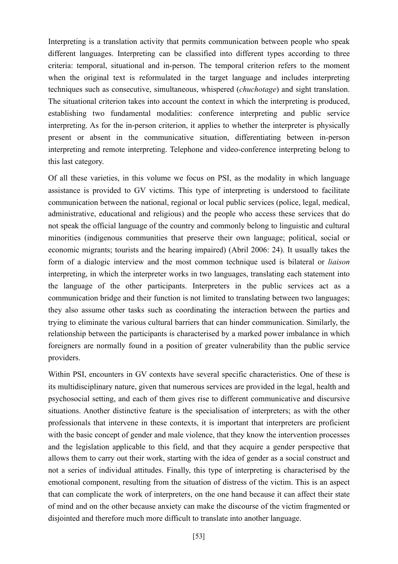Interpreting is a translation activity that permits communication between people who speak different languages. Interpreting can be classified into different types according to three criteria: temporal, situational and in-person. The temporal criterion refers to the moment when the original text is reformulated in the target language and includes interpreting techniques such as consecutive, simultaneous, whispered (*chuchotage*) and sight translation. The situational criterion takes into account the context in which the interpreting is produced, establishing two fundamental modalities: conference interpreting and public service interpreting. As for the in-person criterion, it applies to whether the interpreter is physically present or absent in the communicative situation, differentiating between in-person interpreting and remote interpreting. Telephone and video-conference interpreting belong to this last category.

Of all these varieties, in this volume we focus on PSI, as the modality in which language assistance is provided to GV victims. This type of interpreting is understood to facilitate communication between the national, regional or local public services (police, legal, medical, administrative, educational and religious) and the people who access these services that do not speak the official language of the country and commonly belong to linguistic and cultural minorities (indigenous communities that preserve their own language; political, social or economic migrants; tourists and the hearing impaired) (Abril 2006: 24). It usually takes the form of a dialogic interview and the most common technique used is bilateral or *liaison* interpreting, in which the interpreter works in two languages, translating each statement into the language of the other participants. Interpreters in the public services act as a communication bridge and their function is not limited to translating between two languages; they also assume other tasks such as coordinating the interaction between the parties and trying to eliminate the various cultural barriers that can hinder communication. Similarly, the relationship between the participants is characterised by a marked power imbalance in which foreigners are normally found in a position of greater vulnerability than the public service providers.

Within PSI, encounters in GV contexts have several specific characteristics. One of these is its multidisciplinary nature, given that numerous services are provided in the legal, health and psychosocial setting, and each of them gives rise to different communicative and discursive situations. Another distinctive feature is the specialisation of interpreters; as with the other professionals that intervene in these contexts, it is important that interpreters are proficient with the basic concept of gender and male violence, that they know the intervention processes and the legislation applicable to this field, and that they acquire a gender perspective that allows them to carry out their work, starting with the idea of gender as a social construct and not a series of individual attitudes. Finally, this type of interpreting is characterised by the emotional component, resulting from the situation of distress of the victim. This is an aspect that can complicate the work of interpreters, on the one hand because it can affect their state of mind and on the other because anxiety can make the discourse of the victim fragmented or disjointed and therefore much more difficult to translate into another language.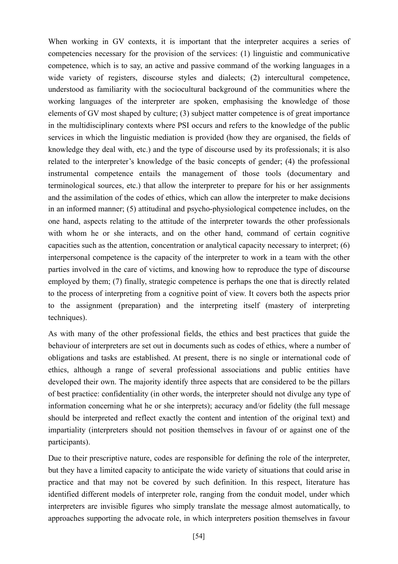When working in GV contexts, it is important that the interpreter acquires a series of competencies necessary for the provision of the services: (1) linguistic and communicative competence, which is to say, an active and passive command of the working languages in a wide variety of registers, discourse styles and dialects; (2) intercultural competence, understood as familiarity with the sociocultural background of the communities where the working languages of the interpreter are spoken, emphasising the knowledge of those elements of GV most shaped by culture; (3) subject matter competence is of great importance in the multidisciplinary contexts where PSI occurs and refers to the knowledge of the public services in which the linguistic mediation is provided (how they are organised, the fields of knowledge they deal with, etc.) and the type of discourse used by its professionals; it is also related to the interpreter's knowledge of the basic concepts of gender; (4) the professional instrumental competence entails the management of those tools (documentary and terminological sources, etc.) that allow the interpreter to prepare for his or her assignments and the assimilation of the codes of ethics, which can allow the interpreter to make decisions in an informed manner; (5) attitudinal and psycho-physiological competence includes, on the one hand, aspects relating to the attitude of the interpreter towards the other professionals with whom he or she interacts, and on the other hand, command of certain cognitive capacities such as the attention, concentration or analytical capacity necessary to interpret; (6) interpersonal competence is the capacity of the interpreter to work in a team with the other parties involved in the care of victims, and knowing how to reproduce the type of discourse employed by them; (7) finally, strategic competence is perhaps the one that is directly related to the process of interpreting from a cognitive point of view. It covers both the aspects prior to the assignment (preparation) and the interpreting itself (mastery of interpreting techniques).

As with many of the other professional fields, the ethics and best practices that guide the behaviour of interpreters are set out in documents such as codes of ethics, where a number of obligations and tasks are established. At present, there is no single or international code of ethics, although a range of several professional associations and public entities have developed their own. The majority identify three aspects that are considered to be the pillars of best practice: confidentiality (in other words, the interpreter should not divulge any type of information concerning what he or she interprets); accuracy and/or fidelity (the full message should be interpreted and reflect exactly the content and intention of the original text) and impartiality (interpreters should not position themselves in favour of or against one of the participants).

Due to their prescriptive nature, codes are responsible for defining the role of the interpreter, but they have a limited capacity to anticipate the wide variety of situations that could arise in practice and that may not be covered by such definition. In this respect, literature has identified different models of interpreter role, ranging from the conduit model, under which interpreters are invisible figures who simply translate the message almost automatically, to approaches supporting the advocate role, in which interpreters position themselves in favour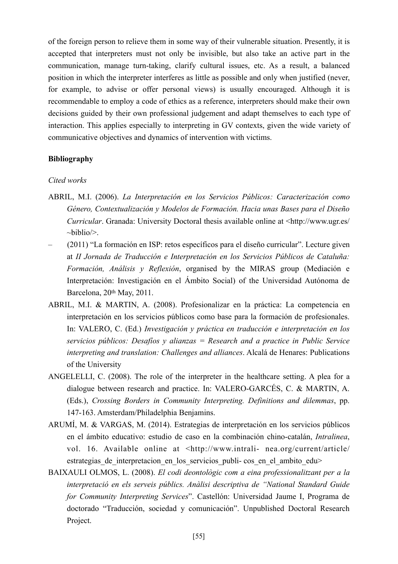of the foreign person to relieve them in some way of their vulnerable situation. Presently, it is accepted that interpreters must not only be invisible, but also take an active part in the communication, manage turn-taking, clarify cultural issues, etc. As a result, a balanced position in which the interpreter interferes as little as possible and only when justified (never, for example, to advise or offer personal views) is usually encouraged. Although it is recommendable to employ a code of ethics as a reference, interpreters should make their own decisions guided by their own professional judgement and adapt themselves to each type of interaction. This applies especially to interpreting in GV contexts, given the wide variety of communicative objectives and dynamics of intervention with victims.

#### **Bibliography**

#### *Cited works*

- ABRIL, M.I. (2006). *La Interpretación en los Servicios Públicos: Caracterización como Género, Contextualización y Modelos de Formación. Hacia unas Bases para el Diseño Curricular*. Granada: University Doctoral thesis available online at <http://www.ugr.es/  $\sim$ biblio $\geq$ .
- (2011) "La formación en ISP: retos específicos para el diseño curricular". Lecture given at *II Jornada de Traducción e Interpretación en los Servicios Públicos de Cataluña: Formación, Análisis y Reflexión*, organised by the MIRAS group (Mediación e Interpretación: Investigación en el Ámbito Social) of the Universidad Autónoma de Barcelona, 20th May, 2011.
- ABRIL, M.I. & MARTIN, A. (2008). Profesionalizar en la práctica: La competencia en interpretación en los servicios públicos como base para la formación de profesionales. In: VALERO, C. (Ed.) *Investigación y práctica en traducción e interpretación en los servicios públicos: Desafíos y alianzas = Research and a practice in Public Service interpreting and translation: Challenges and alliances*. Alcalá de Henares: Publications of the University
- ANGELELLI, C. (2008). The role of the interpreter in the healthcare setting. A plea for a dialogue between research and practice. In: VALERO-GARCÉS, C. & MARTIN, A. (Eds.), *Crossing Borders in Community Interpreting. Definitions and dilemmas*, pp. 147-163. Amsterdam/Philadelphia Benjamins.
- ARUMÍ, M. & VARGAS, M. (2014). Estrategias de interpretación en los servicios públicos en el ámbito educativo: estudio de caso en la combinación chino-catalán, *Intralinea*, vol. 16. Available online at <http://www.intrali- nea.org/current/article/ estrategias de interpretacion en los servicios publi- cos en el ambito edu>
- BAIXAULI OLMOS, L. (2008). *El codi deontològic com a eina professionalitzant per a la interpretació en els serveis públics. Anàlisi descriptiva de "National Standard Guide for Community Interpreting Services*". Castellón: Universidad Jaume I, Programa de doctorado "Traducción, sociedad y comunicación". Unpublished Doctoral Research Project.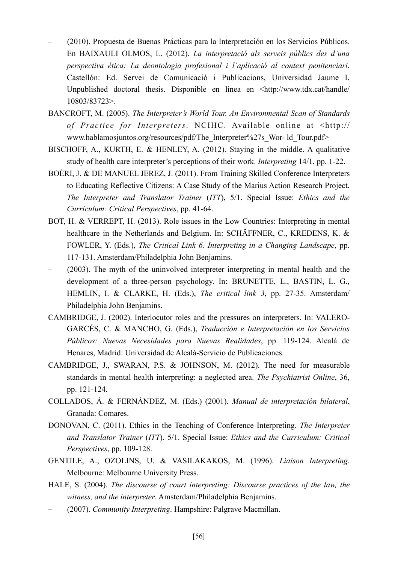- (2010). Propuesta de Buenas Prácticas para la Interpretación en los Servicios Públicos. En BAIXAULI OLMOS, L. (2012). *La interpretació als serveis públics des d'una perspectiva ética: La deontologia profesional i l'aplicació al context penitenciari*. Castellón: Ed. Servei de Comunicació i Publicacions, Universidad Jaume I. Unpublished doctoral thesis. Disponible en línea en <http://www.tdx.cat/handle/ 10803/83723>.
- BANCROFT, M. (2005). *The Interpreter's World Tour. An Environmental Scan of Standards of Practice for Interpreters*. NCIHC. Available online at <http:// www.hablamosjuntos.org/resources/pdf/The\_Interpreter%27s\_Wor- ld\_Tour.pdf>
- BISCHOFF, A., KURTH, E. & HENLEY, A. (2012). Staying in the middle. A qualitative study of health care interpreter's perceptions of their work. *Interpreting* 14/1, pp. 1-22.
- BOÉRI, J. & DE MANUEL JEREZ, J. (2011). From Training Skilled Conference Interpreters to Educating Reflective Citizens: A Case Study of the Marius Action Research Project. *The Interpreter and Translator Trainer* (*ITT*), 5/1. Special Issue: *Ethics and the Curriculum: Critical Perspectives*, pp. 41-64.
- BOT, H. & VERREPT, H. (2013). Role issues in the Low Countries: Interpreting in mental healthcare in the Netherlands and Belgium. In: SCHÄFFNER, C., KREDENS, K. & FOWLER, Y. (Eds.), *The Critical Link 6. Interpreting in a Changing Landscape*, pp. 117-131. Amsterdam/Philadelphia John Benjamins.
- (2003). The myth of the uninvolved interpreter interpreting in mental health and the development of a three-person psychology. In: BRUNETTE, L., BASTIN, L. G., HEMLIN, I. & CLARKE, H. (Eds.), *The critical link 3*, pp. 27-35. Amsterdam/ Philadelphia John Benjamins.
- CAMBRIDGE, J. (2002). Interlocutor roles and the pressures on interpreters. In: VALERO-GARCÉS, C. & MANCHO, G. (Eds.), *Traducción e Interpretación en los Servicios Públicos: Nuevas Necesidades para Nuevas Realidades*, pp. 119-124. Alcalá de Henares, Madrid: Universidad de Alcalá-Servicio de Publicaciones.
- CAMBRIDGE, J., SWARAN, P.S. & JOHNSON, M. (2012). The need for measurable standards in mental health interpreting: a neglected area. *The Psychiatrist Online*, 36, pp. 121-124.
- COLLADOS, Á. & FERNÁNDEZ, M. (Eds.) (2001). *Manual de interpretación bilateral*, Granada: Comares.
- DONOVAN, C. (2011). Ethics in the Teaching of Conference Interpreting. *The Interpreter and Translator Trainer* (*ITT*). 5/1. Special Issue: *Ethics and the Curriculum: Critical Perspectives*, pp. 109-128.
- GENTILE, A., OZOLINS, U. & VASILAKAKOS, M. (1996). *Liaison Interpreting.* Melbourne: Melbourne University Press.
- HALE, S. (2004). *The discourse of court interpreting: Discourse practices of the law, the witness, and the interpreter*. Amsterdam/Philadelphia Benjamins.
- (2007). *Community Interpreting*. Hampshire: Palgrave Macmillan.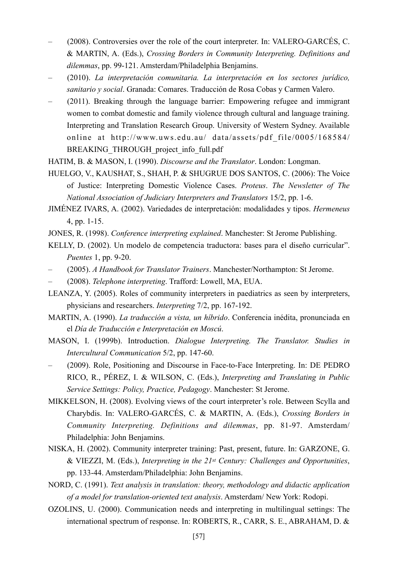- (2008). Controversies over the role of the court interpreter. In: VALERO-GARCÉS, C. & MARTIN, A. (Eds.), *Crossing Borders in Community Interpreting. Definitions and dilemmas*, pp. 99-121. Amsterdam/Philadelphia Benjamins.
- (2010). *La interpretación comunitaria. La interpretación en los sectores jurídico, sanitario y social*. Granada: Comares. Traducción de Rosa Cobas y Carmen Valero.
- (2011). Breaking through the language barrier: Empowering refugee and immigrant women to combat domestic and family violence through cultural and language training. Interpreting and Translation Research Group. University of Western Sydney. Available online at http://www.uws.edu.au/ data/assets/pdf\_file/0005/168584/ BREAKING\_THROUGH\_project\_info\_full.pdf
- HATIM, B. & MASON, I. (1990). *Discourse and the Translator*. London: Longman.
- HUELGO, V., KAUSHAT, S., SHAH, P. & SHUGRUE DOS SANTOS, C. (2006): The Voice of Justice: Interpreting Domestic Violence Cases. *Proteus*. *The Newsletter of The National Association of Judiciary Interpreters and Translators* 15/2, pp. 1-6.
- JIMÉNEZ IVARS, A. (2002). Variedades de interpretación: modalidades y tipos. *Hermeneus* 4, pp. 1-15.
- JONES, R. (1998). *Conference interpreting explained*. Manchester: St Jerome Publishing.
- KELLY, D. (2002). Un modelo de competencia traductora: bases para el diseño curricular". *Puentes* 1, pp. 9-20.
- (2005). *A Handbook for Translator Trainers*. Manchester/Northampton: St Jerome.
- (2008). *Telephone interpreting*. Trafford: Lowell, MA, EUA.
- LEANZA, Y. (2005). Roles of community interpreters in paediatrics as seen by interpreters, physicians and researchers. *Interpreting* 7/2, pp. 167-192.
- MARTIN, A. (1990). *La traducción a vista, un híbrido*. Conferencia inédita, pronunciada en el *Día de Traducción e Interpretación en Moscú*.
- MASON, I. (1999b). Introduction. *Dialogue Interpreting. The Translator. Studies in Intercultural Communication* 5/2, pp. 147-60.
- (2009). Role, Positioning and Discourse in Face-to-Face Interpreting. In: DE PEDRO RICO, R., PÉREZ, I. & WILSON, C. (Eds.), *Interpreting and Translating in Public Service Settings: Policy, Practice, Pedagogy*. Manchester: St Jerome.
- MIKKELSON, H. (2008). Evolving views of the court interpreter's role. Between Scylla and Charybdis. In: VALERO-GARCÉS, C. & MARTIN, A. (Eds.), *Crossing Borders in Community Interpreting. Definitions and dilemmas*, pp. 81-97. Amsterdam/ Philadelphia: John Benjamins.
- NISKA, H. (2002). Community interpreter training: Past, present, future. In: GARZONE, G. & VIEZZI, M. (Eds.), *Interpreting in the 21st Century: Challenges and Opportunities*, pp. 133-44. Amsterdam/Philadelphia: John Benjamins.
- NORD, C. (1991). *Text analysis in translation: theory, methodology and didactic application of a model for translation-oriented text analysis*. Amsterdam/ New York: Rodopi.
- OZOLINS, U. (2000). Communication needs and interpreting in multilingual settings: The international spectrum of response. In: ROBERTS, R., CARR, S. E., ABRAHAM, D. &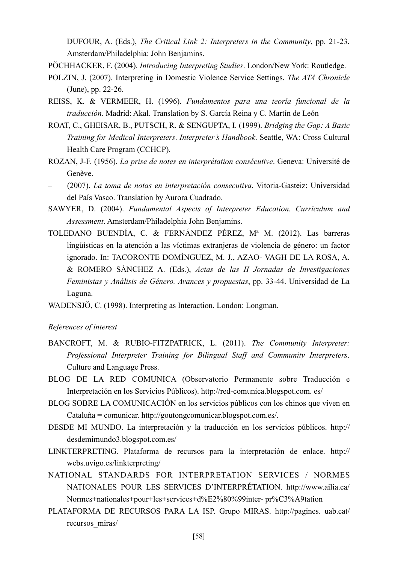DUFOUR, A. (Eds.), *The Critical Link 2: Interpreters in the Community*, pp. 21-23. Amsterdam/Philadelphia: John Benjamins.

PÖCHHACKER, F. (2004). *Introducing Interpreting Studies*. London/New York: Routledge.

- POLZIN, J. (2007). Interpreting in Domestic Violence Service Settings. *The ATA Chronicle* (June), pp. 22-26.
- REISS, K. & VERMEER, H. (1996). *Fundamentos para una teoría funcional de la traducción*. Madrid: Akal. Translation by S. García Reina y C. Martín de León
- ROAT, C., GHEISAR, B., PUTSCH, R. & SENGUPTA, I. (1999). *Bridging the Gap: A Basic Training for Medical Interpreters*. *Interpreter's Handbook*. Seattle, WA: Cross Cultural Health Care Program (CCHCP).
- ROZAN, J-F. (1956). *La prise de notes en interprétation consécutive*. Geneva: Université de Genève.
- (2007). *La toma de notas en interpretación consecutiva*. Vitoria-Gasteiz: Universidad del País Vasco. Translation by Aurora Cuadrado.
- SAWYER, D. (2004). *Fundamental Aspects of Interpreter Education. Curriculum and Assessment*. Amsterdam/Philadelphia John Benjamins.
- TOLEDANO BUENDÍA, C. & FERNÁNDEZ PÉREZ, Mª M. (2012). Las barreras lingüísticas en la atención a las víctimas extranjeras de violencia de género: un factor ignorado. In: TACORONTE DOMÍNGUEZ, M. J., AZAO- VAGH DE LA ROSA, A. & ROMERO SÁNCHEZ A. (Eds.), *Actas de las II Jornadas de Investigaciones Feministas y Análisis de Género. Avances y propuestas*, pp. 33-44. Universidad de La Laguna.
- WADENSJÖ, C. (1998). Interpreting as Interaction. London: Longman.

#### *References of interest*

- BANCROFT, M. & RUBIO-FITZPATRICK, L. (2011). *The Community Interpreter: Professional Interpreter Training for Bilingual Staff and Community Interpreters*. Culture and Language Press.
- BLOG DE LA RED COMUNICA (Observatorio Permanente sobre Traducción e Interpretación en los Servicios Públicos). http://red-comunica.blogspot.com. es/
- BLOG SOBRE LA COMUNICACIÓN en los servicios públicos con los chinos que viven en Cataluña = comunicar. [http://goutongcomunicar.blogspot.com.es/.](http://goutongcomunicar.blogspot.com.es/)
- DESDE MI MUNDO. La interpretación y la traducción en los servicios públicos. http:// desdemimundo3.blogspot.com.es/
- LINKTERPRETING. Plataforma de recursos para la interpretación de enlace. [http://](http://webs.uvigo.es/linkterpreting/) [webs.uvigo.es/linkterpreting/](http://webs.uvigo.es/linkterpreting/)
- NATIONAL STANDARDS FOR INTERPRETATION SERVICES / NORMES NATIONALES POUR LES SERVICES D'INTERPRÉTATION. http://www.ailia.ca/ Normes+nationales+pour+les+services+d%E2%80%99inter- pr%C3%A9tation
- PLATAFORMA DE RECURSOS PARA LA ISP. Grupo MIRAS. http://pagines. uab.cat/ recursos\_miras/